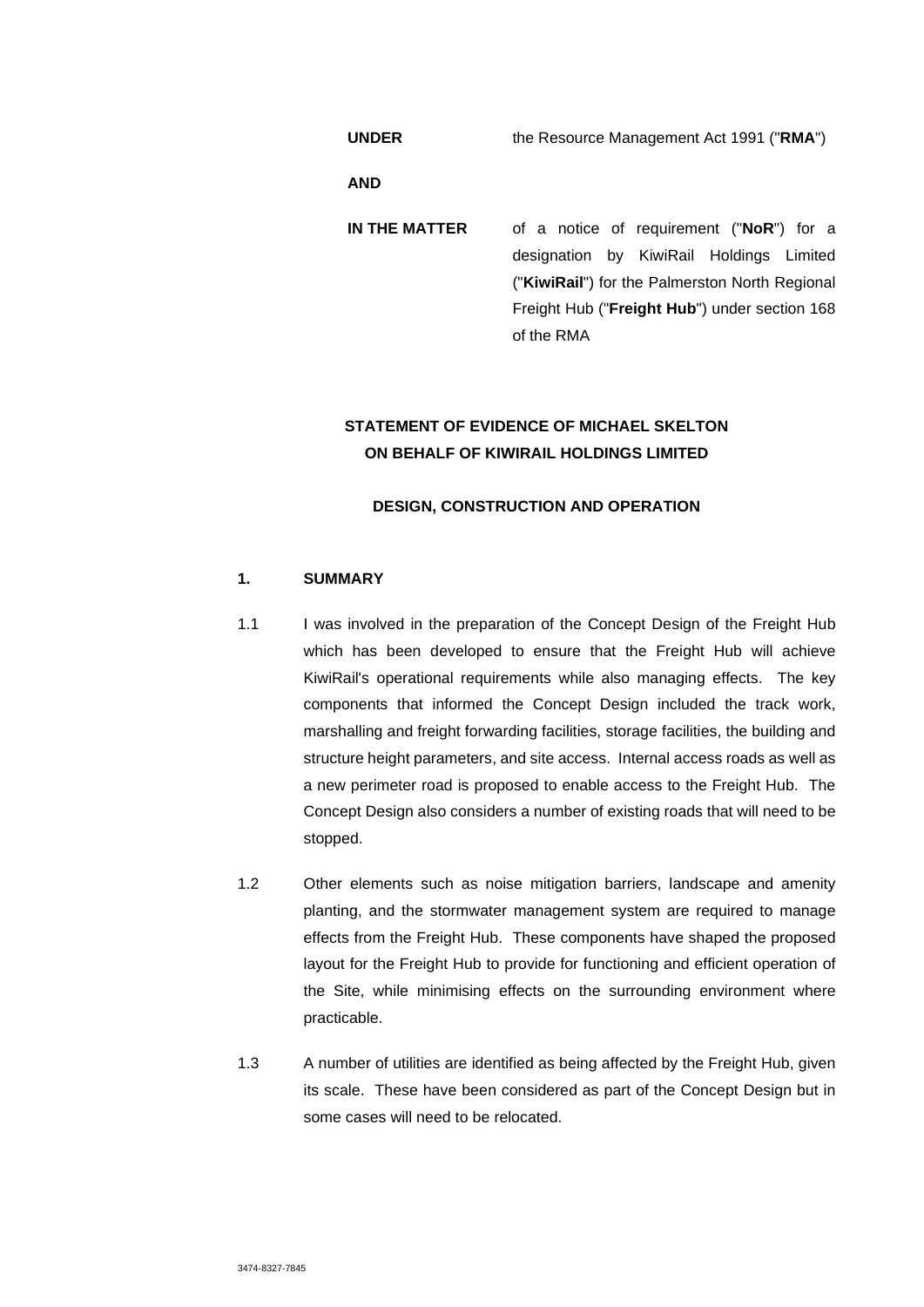**UNDER** the Resource Management Act 1991 ("**RMA**")

**AND** 

**IN THE MATTER** of a notice of requirement ("**NoR**") for a designation by KiwiRail Holdings Limited ("**KiwiRail**") for the Palmerston North Regional Freight Hub ("**Freight Hub**") under section 168 of the RMA

# **STATEMENT OF EVIDENCE OF MICHAEL SKELTON ON BEHALF OF KIWIRAIL HOLDINGS LIMITED**

## **DESIGN, CONSTRUCTION AND OPERATION**

## **1. SUMMARY**

- 1.1 I was involved in the preparation of the Concept Design of the Freight Hub which has been developed to ensure that the Freight Hub will achieve KiwiRail's operational requirements while also managing effects. The key components that informed the Concept Design included the track work, marshalling and freight forwarding facilities, storage facilities, the building and structure height parameters, and site access. Internal access roads as well as a new perimeter road is proposed to enable access to the Freight Hub. The Concept Design also considers a number of existing roads that will need to be stopped.
- 1.2 Other elements such as noise mitigation barriers, landscape and amenity planting, and the stormwater management system are required to manage effects from the Freight Hub. These components have shaped the proposed layout for the Freight Hub to provide for functioning and efficient operation of the Site, while minimising effects on the surrounding environment where practicable.
- 1.3 A number of utilities are identified as being affected by the Freight Hub, given its scale. These have been considered as part of the Concept Design but in some cases will need to be relocated.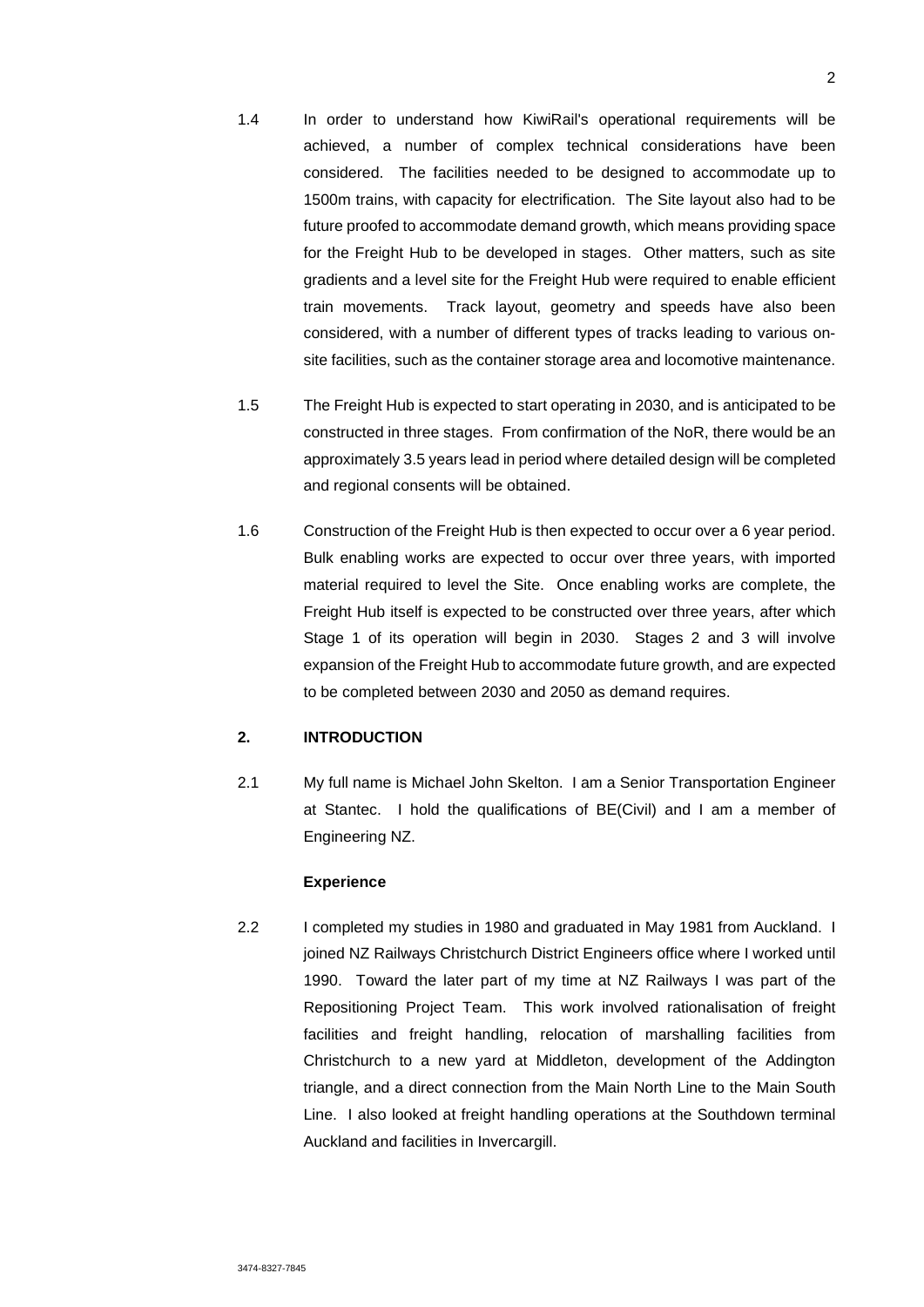- 1.4 In order to understand how KiwiRail's operational requirements will be achieved, a number of complex technical considerations have been considered. The facilities needed to be designed to accommodate up to 1500m trains, with capacity for electrification. The Site layout also had to be future proofed to accommodate demand growth, which means providing space for the Freight Hub to be developed in stages. Other matters, such as site gradients and a level site for the Freight Hub were required to enable efficient train movements. Track layout, geometry and speeds have also been considered, with a number of different types of tracks leading to various onsite facilities, such as the container storage area and locomotive maintenance.
- 1.5 The Freight Hub is expected to start operating in 2030, and is anticipated to be constructed in three stages. From confirmation of the NoR, there would be an approximately 3.5 years lead in period where detailed design will be completed and regional consents will be obtained.
- 1.6 Construction of the Freight Hub is then expected to occur over a 6 year period. Bulk enabling works are expected to occur over three years, with imported material required to level the Site. Once enabling works are complete, the Freight Hub itself is expected to be constructed over three years, after which Stage 1 of its operation will begin in 2030. Stages 2 and 3 will involve expansion of the Freight Hub to accommodate future growth, and are expected to be completed between 2030 and 2050 as demand requires.

### **2. INTRODUCTION**

2.1 My full name is Michael John Skelton. I am a Senior Transportation Engineer at Stantec. I hold the qualifications of BE(Civil) and I am a member of Engineering NZ.

### **Experience**

2.2 I completed my studies in 1980 and graduated in May 1981 from Auckland. I joined NZ Railways Christchurch District Engineers office where I worked until 1990. Toward the later part of my time at NZ Railways I was part of the Repositioning Project Team. This work involved rationalisation of freight facilities and freight handling, relocation of marshalling facilities from Christchurch to a new yard at Middleton, development of the Addington triangle, and a direct connection from the Main North Line to the Main South Line. I also looked at freight handling operations at the Southdown terminal Auckland and facilities in Invercargill.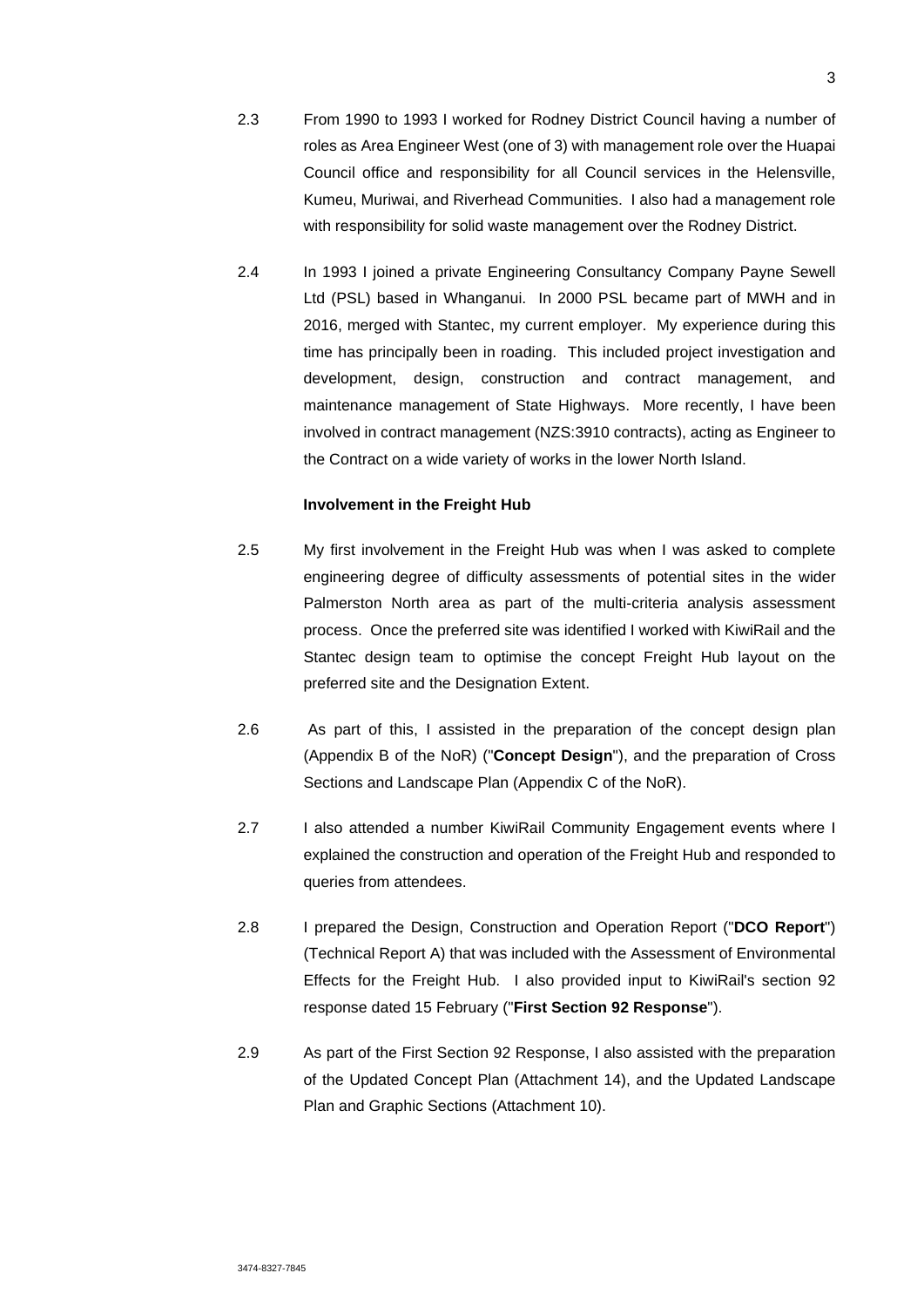- 2.3 From 1990 to 1993 I worked for Rodney District Council having a number of roles as Area Engineer West (one of 3) with management role over the Huapai Council office and responsibility for all Council services in the Helensville, Kumeu, Muriwai, and Riverhead Communities. I also had a management role with responsibility for solid waste management over the Rodney District.
- 2.4 In 1993 I joined a private Engineering Consultancy Company Payne Sewell Ltd (PSL) based in Whanganui. In 2000 PSL became part of MWH and in 2016, merged with Stantec, my current employer. My experience during this time has principally been in roading. This included project investigation and development, design, construction and contract management, and maintenance management of State Highways. More recently, I have been involved in contract management (NZS:3910 contracts), acting as Engineer to the Contract on a wide variety of works in the lower North Island.

#### **Involvement in the Freight Hub**

- 2.5 My first involvement in the Freight Hub was when I was asked to complete engineering degree of difficulty assessments of potential sites in the wider Palmerston North area as part of the multi-criteria analysis assessment process. Once the preferred site was identified I worked with KiwiRail and the Stantec design team to optimise the concept Freight Hub layout on the preferred site and the Designation Extent.
- 2.6 As part of this, I assisted in the preparation of the concept design plan (Appendix B of the NoR) ("**Concept Design**"), and the preparation of Cross Sections and Landscape Plan (Appendix C of the NoR).
- 2.7 I also attended a number KiwiRail Community Engagement events where I explained the construction and operation of the Freight Hub and responded to queries from attendees.
- 2.8 I prepared the Design, Construction and Operation Report ("**DCO Report**") (Technical Report A) that was included with the Assessment of Environmental Effects for the Freight Hub. I also provided input to KiwiRail's section 92 response dated 15 February ("**First Section 92 Response**").
- 2.9 As part of the First Section 92 Response, I also assisted with the preparation of the Updated Concept Plan (Attachment 14), and the Updated Landscape Plan and Graphic Sections (Attachment 10).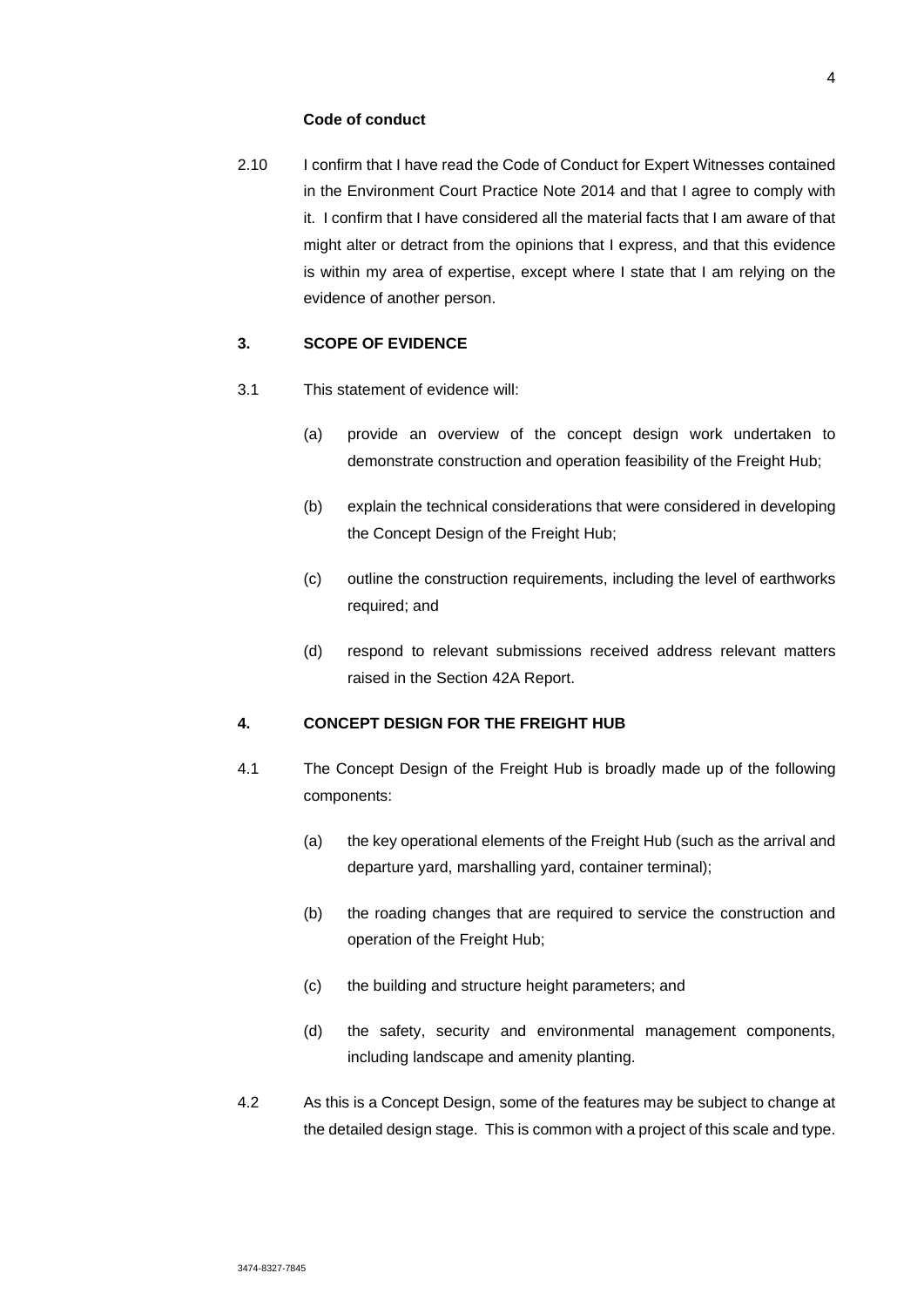### **Code of conduct**

2.10 I confirm that I have read the Code of Conduct for Expert Witnesses contained in the Environment Court Practice Note 2014 and that I agree to comply with it. I confirm that I have considered all the material facts that I am aware of that might alter or detract from the opinions that I express, and that this evidence is within my area of expertise, except where I state that I am relying on the evidence of another person.

## **3. SCOPE OF EVIDENCE**

- 3.1 This statement of evidence will:
	- (a) provide an overview of the concept design work undertaken to demonstrate construction and operation feasibility of the Freight Hub;
	- (b) explain the technical considerations that were considered in developing the Concept Design of the Freight Hub;
	- (c) outline the construction requirements, including the level of earthworks required; and
	- (d) respond to relevant submissions received address relevant matters raised in the Section 42A Report.

## **4. CONCEPT DESIGN FOR THE FREIGHT HUB**

- 4.1 The Concept Design of the Freight Hub is broadly made up of the following components:
	- (a) the key operational elements of the Freight Hub (such as the arrival and departure yard, marshalling yard, container terminal);
	- (b) the roading changes that are required to service the construction and operation of the Freight Hub;
	- (c) the building and structure height parameters; and
	- (d) the safety, security and environmental management components, including landscape and amenity planting.
- 4.2 As this is a Concept Design, some of the features may be subject to change at the detailed design stage. This is common with a project of this scale and type.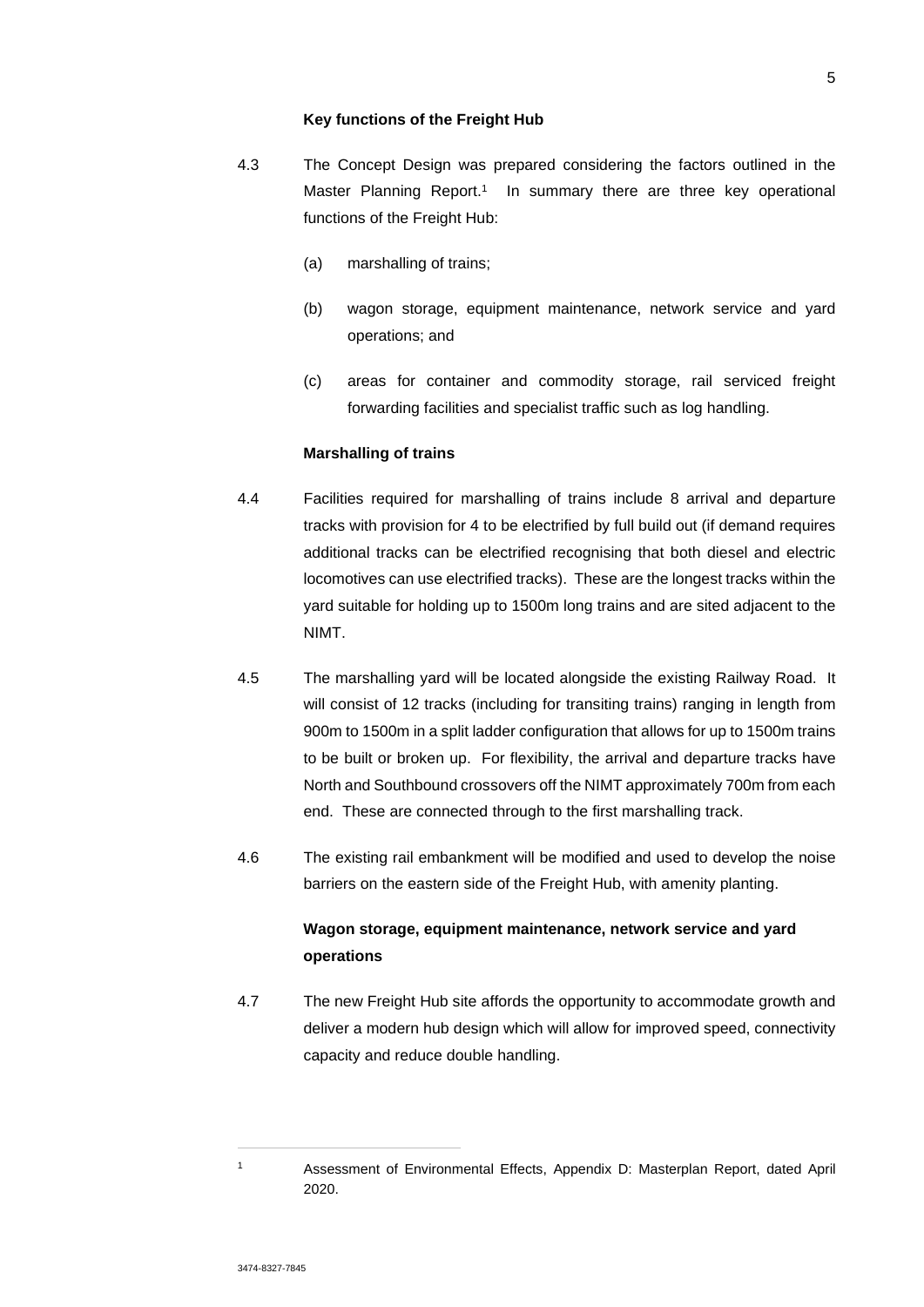#### **Key functions of the Freight Hub**

- 4.3 The Concept Design was prepared considering the factors outlined in the Master Planning Report.<sup>1</sup> In summary there are three key operational functions of the Freight Hub:
	- (a) marshalling of trains;
	- (b) wagon storage, equipment maintenance, network service and yard operations; and
	- (c) areas for container and commodity storage, rail serviced freight forwarding facilities and specialist traffic such as log handling.

### **Marshalling of trains**

- 4.4 Facilities required for marshalling of trains include 8 arrival and departure tracks with provision for 4 to be electrified by full build out (if demand requires additional tracks can be electrified recognising that both diesel and electric locomotives can use electrified tracks). These are the longest tracks within the yard suitable for holding up to 1500m long trains and are sited adjacent to the NIMT.
- 4.5 The marshalling yard will be located alongside the existing Railway Road. It will consist of 12 tracks (including for transiting trains) ranging in length from 900m to 1500m in a split ladder configuration that allows for up to 1500m trains to be built or broken up. For flexibility, the arrival and departure tracks have North and Southbound crossovers off the NIMT approximately 700m from each end. These are connected through to the first marshalling track.
- 4.6 The existing rail embankment will be modified and used to develop the noise barriers on the eastern side of the Freight Hub, with amenity planting.

# **Wagon storage, equipment maintenance, network service and yard operations**

4.7 The new Freight Hub site affords the opportunity to accommodate growth and deliver a modern hub design which will allow for improved speed, connectivity capacity and reduce double handling.

<sup>1</sup> Assessment of Environmental Effects, Appendix D: Masterplan Report, dated April 2020.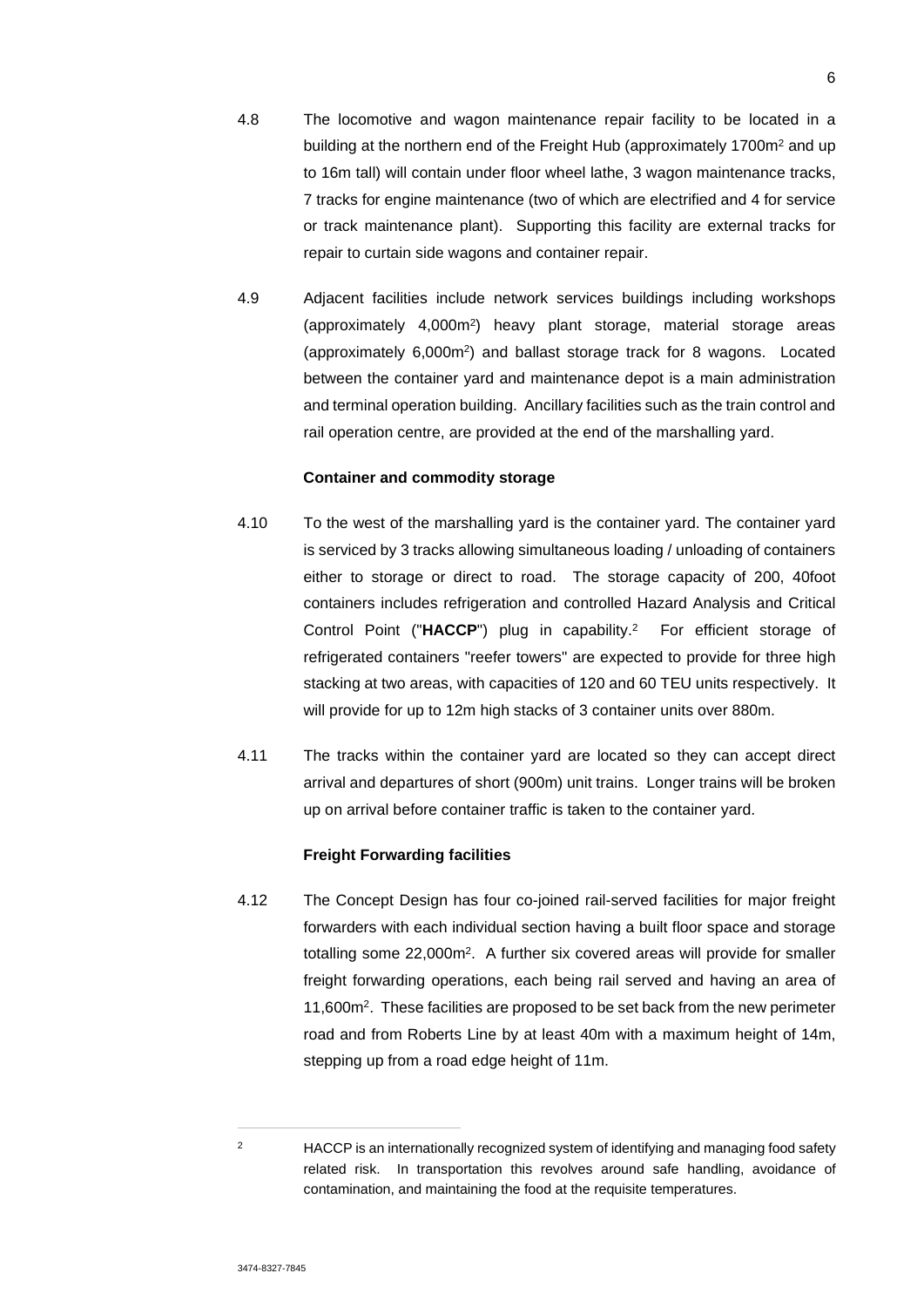- 4.8 The locomotive and wagon maintenance repair facility to be located in a building at the northern end of the Freight Hub (approximately 1700m<sup>2</sup> and up to 16m tall) will contain under floor wheel lathe, 3 wagon maintenance tracks, 7 tracks for engine maintenance (two of which are electrified and 4 for service or track maintenance plant). Supporting this facility are external tracks for repair to curtain side wagons and container repair.
- 4.9 Adjacent facilities include network services buildings including workshops (approximately 4,000m<sup>2</sup> ) heavy plant storage, material storage areas (approximately 6,000m<sup>2</sup> ) and ballast storage track for 8 wagons. Located between the container yard and maintenance depot is a main administration and terminal operation building. Ancillary facilities such as the train control and rail operation centre, are provided at the end of the marshalling yard.

### **Container and commodity storage**

- 4.10 To the west of the marshalling yard is the container yard. The container yard is serviced by 3 tracks allowing simultaneous loading / unloading of containers either to storage or direct to road. The storage capacity of 200, 40foot containers includes refrigeration and controlled Hazard Analysis and Critical Control Point ("**HACCP**") plug in capability.<sup>2</sup> For efficient storage of refrigerated containers "reefer towers" are expected to provide for three high stacking at two areas, with capacities of 120 and 60 TEU units respectively. It will provide for up to 12m high stacks of 3 container units over 880m.
- 4.11 The tracks within the container yard are located so they can accept direct arrival and departures of short (900m) unit trains. Longer trains will be broken up on arrival before container traffic is taken to the container yard.

### **Freight Forwarding facilities**

4.12 The Concept Design has four co-joined rail-served facilities for major freight forwarders with each individual section having a built floor space and storage totalling some 22,000m<sup>2</sup>. A further six covered areas will provide for smaller freight forwarding operations, each being rail served and having an area of 11,600m<sup>2</sup> . These facilities are proposed to be set back from the new perimeter road and from Roberts Line by at least 40m with a maximum height of 14m, stepping up from a road edge height of 11m.

<sup>&</sup>lt;sup>2</sup> HACCP is an internationally recognized system of identifying and managing food safety related risk. In transportation this revolves around safe handling, avoidance of contamination, and maintaining the food at the requisite temperatures.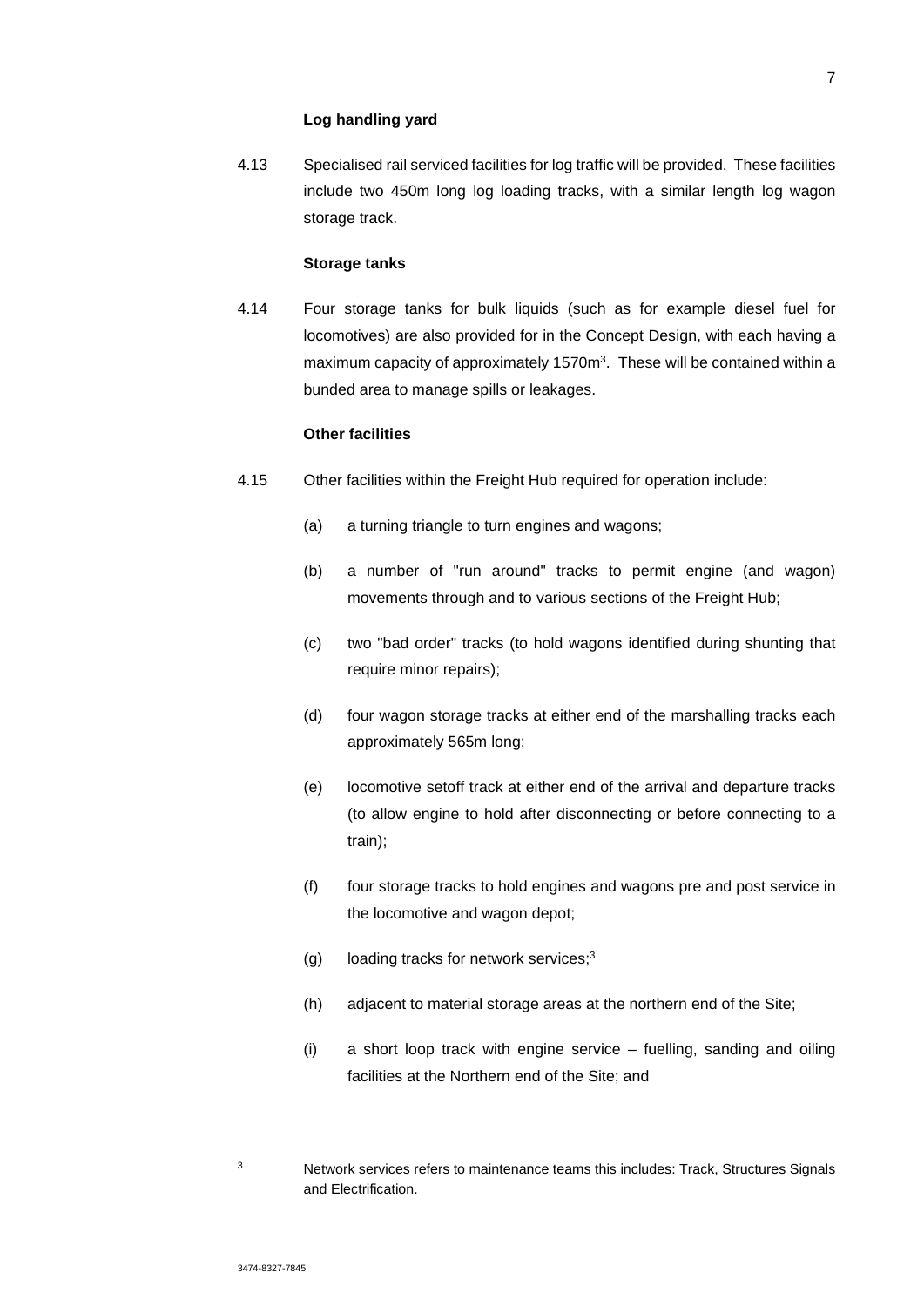#### **Log handling yard**

4.13 Specialised rail serviced facilities for log traffic will be provided. These facilities include two 450m long log loading tracks, with a similar length log wagon storage track.

## **Storage tanks**

4.14 Four storage tanks for bulk liquids (such as for example diesel fuel for locomotives) are also provided for in the Concept Design, with each having a maximum capacity of approximately 1570m<sup>3</sup>. These will be contained within a bunded area to manage spills or leakages.

## **Other facilities**

- 4.15 Other facilities within the Freight Hub required for operation include:
	- (a) a turning triangle to turn engines and wagons;
	- (b) a number of "run around" tracks to permit engine (and wagon) movements through and to various sections of the Freight Hub;
	- (c) two "bad order" tracks (to hold wagons identified during shunting that require minor repairs);
	- (d) four wagon storage tracks at either end of the marshalling tracks each approximately 565m long;
	- (e) locomotive setoff track at either end of the arrival and departure tracks (to allow engine to hold after disconnecting or before connecting to a train);
	- (f) four storage tracks to hold engines and wagons pre and post service in the locomotive and wagon depot;
	- (g) loading tracks for network services;<sup>3</sup>
	- (h) adjacent to material storage areas at the northern end of the Site;
	- (i) a short loop track with engine service fuelling, sanding and oiling facilities at the Northern end of the Site; and

<sup>&</sup>lt;sup>3</sup> Network services refers to maintenance teams this includes: Track, Structures Signals and Electrification.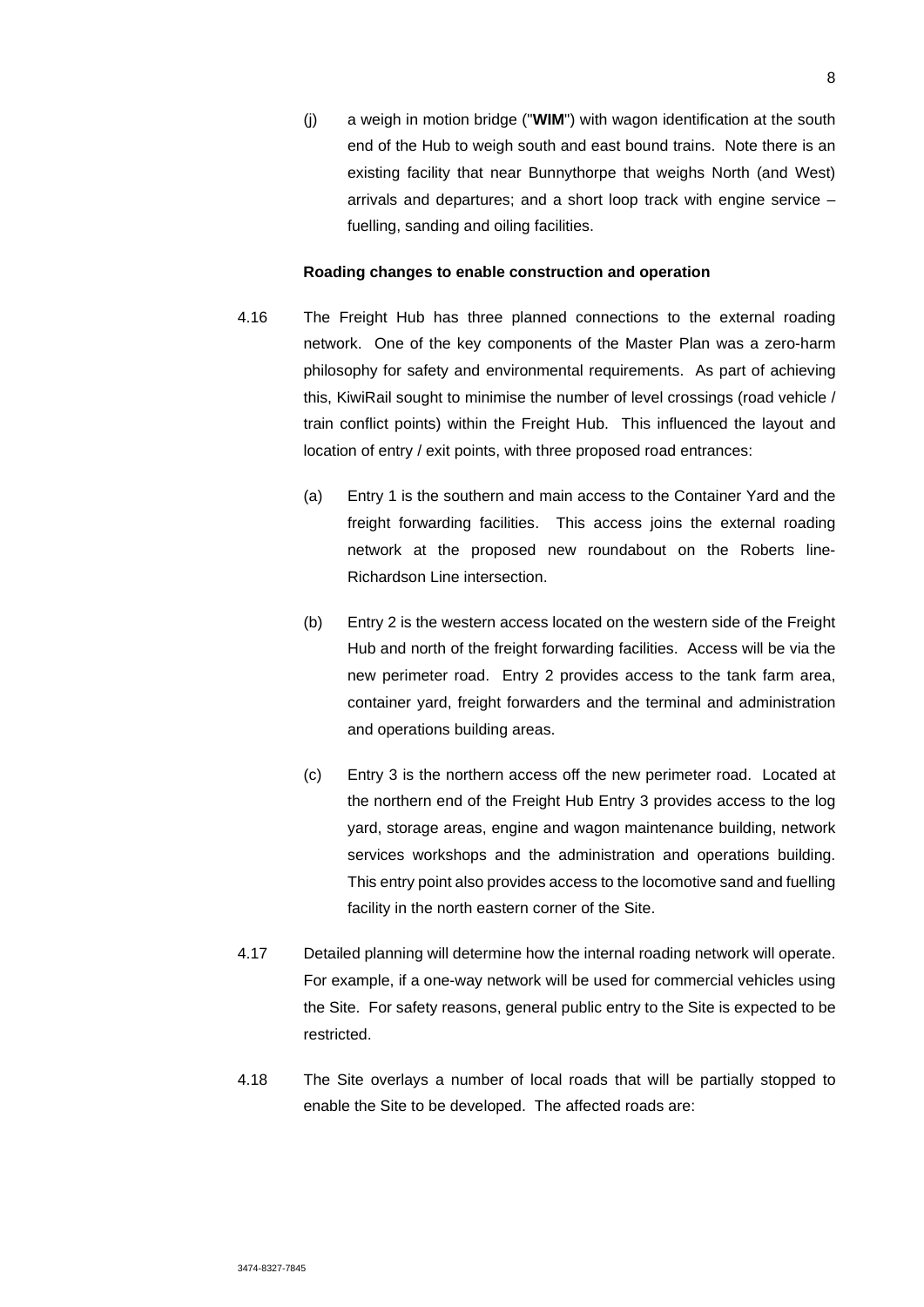(j) a weigh in motion bridge ("**WIM**") with wagon identification at the south end of the Hub to weigh south and east bound trains. Note there is an existing facility that near Bunnythorpe that weighs North (and West) arrivals and departures; and a short loop track with engine service – fuelling, sanding and oiling facilities.

#### **Roading changes to enable construction and operation**

- 4.16 The Freight Hub has three planned connections to the external roading network. One of the key components of the Master Plan was a zero-harm philosophy for safety and environmental requirements. As part of achieving this, KiwiRail sought to minimise the number of level crossings (road vehicle / train conflict points) within the Freight Hub. This influenced the layout and location of entry / exit points, with three proposed road entrances:
	- (a) Entry 1 is the southern and main access to the Container Yard and the freight forwarding facilities. This access joins the external roading network at the proposed new roundabout on the Roberts line-Richardson Line intersection.
	- (b) Entry 2 is the western access located on the western side of the Freight Hub and north of the freight forwarding facilities. Access will be via the new perimeter road. Entry 2 provides access to the tank farm area, container yard, freight forwarders and the terminal and administration and operations building areas.
	- (c) Entry 3 is the northern access off the new perimeter road. Located at the northern end of the Freight Hub Entry 3 provides access to the log yard, storage areas, engine and wagon maintenance building, network services workshops and the administration and operations building. This entry point also provides access to the locomotive sand and fuelling facility in the north eastern corner of the Site.
- 4.17 Detailed planning will determine how the internal roading network will operate. For example, if a one-way network will be used for commercial vehicles using the Site. For safety reasons, general public entry to the Site is expected to be restricted.
- 4.18 The Site overlays a number of local roads that will be partially stopped to enable the Site to be developed. The affected roads are: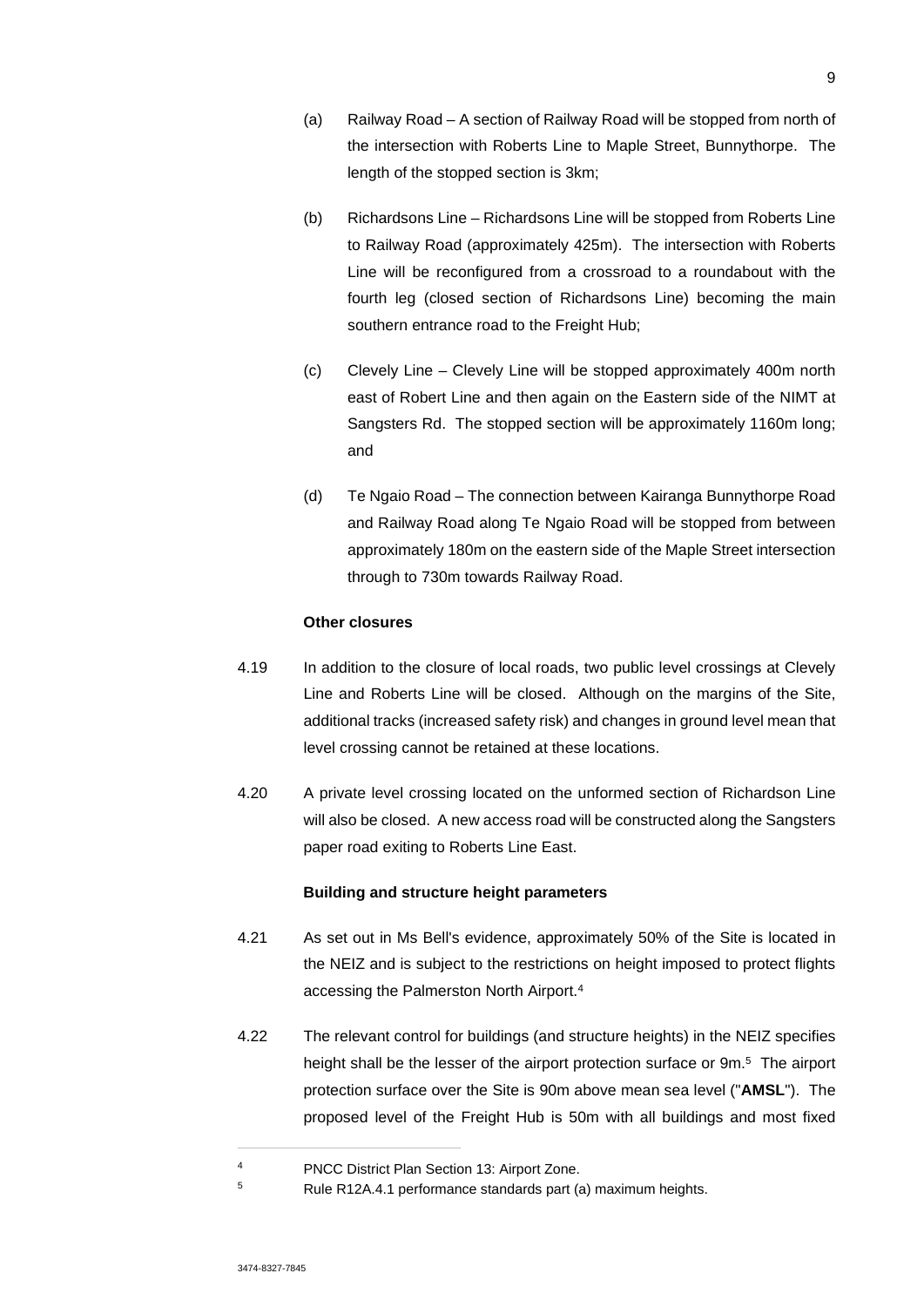- (a) Railway Road A section of Railway Road will be stopped from north of the intersection with Roberts Line to Maple Street, Bunnythorpe. The length of the stopped section is 3km;
- (b) Richardsons Line Richardsons Line will be stopped from Roberts Line to Railway Road (approximately 425m). The intersection with Roberts Line will be reconfigured from a crossroad to a roundabout with the fourth leg (closed section of Richardsons Line) becoming the main southern entrance road to the Freight Hub;
- (c) Clevely Line Clevely Line will be stopped approximately 400m north east of Robert Line and then again on the Eastern side of the NIMT at Sangsters Rd. The stopped section will be approximately 1160m long; and
- (d) Te Ngaio Road The connection between Kairanga Bunnythorpe Road and Railway Road along Te Ngaio Road will be stopped from between approximately 180m on the eastern side of the Maple Street intersection through to 730m towards Railway Road.

### **Other closures**

- 4.19 In addition to the closure of local roads, two public level crossings at Clevely Line and Roberts Line will be closed. Although on the margins of the Site, additional tracks (increased safety risk) and changes in ground level mean that level crossing cannot be retained at these locations.
- 4.20 A private level crossing located on the unformed section of Richardson Line will also be closed. A new access road will be constructed along the Sangsters paper road exiting to Roberts Line East.

## **Building and structure height parameters**

- 4.21 As set out in Ms Bell's evidence, approximately 50% of the Site is located in the NEIZ and is subject to the restrictions on height imposed to protect flights accessing the Palmerston North Airport.<sup>4</sup>
- 4.22 The relevant control for buildings (and structure heights) in the NEIZ specifies height shall be the lesser of the airport protection surface or 9m.<sup>5</sup> The airport protection surface over the Site is 90m above mean sea level ("**AMSL**"). The proposed level of the Freight Hub is 50m with all buildings and most fixed

<sup>4</sup> PNCC District Plan Section 13: Airport Zone.

<sup>5</sup> Rule R12A.4.1 performance standards part (a) maximum heights.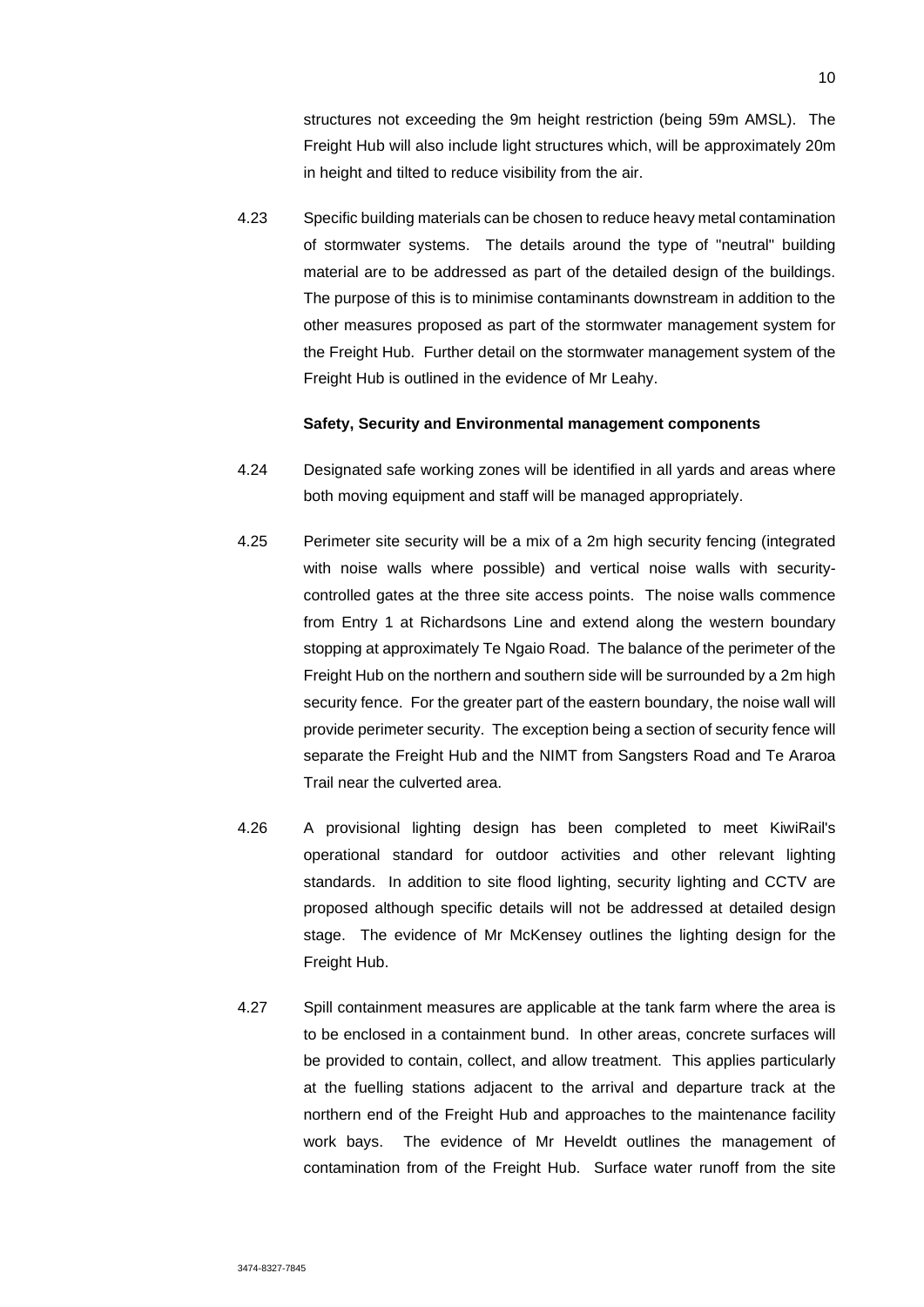structures not exceeding the 9m height restriction (being 59m AMSL). The Freight Hub will also include light structures which, will be approximately 20m in height and tilted to reduce visibility from the air.

4.23 Specific building materials can be chosen to reduce heavy metal contamination of stormwater systems. The details around the type of "neutral" building material are to be addressed as part of the detailed design of the buildings. The purpose of this is to minimise contaminants downstream in addition to the other measures proposed as part of the stormwater management system for the Freight Hub. Further detail on the stormwater management system of the Freight Hub is outlined in the evidence of Mr Leahy.

### **Safety, Security and Environmental management components**

- 4.24 Designated safe working zones will be identified in all yards and areas where both moving equipment and staff will be managed appropriately.
- 4.25 Perimeter site security will be a mix of a 2m high security fencing (integrated with noise walls where possible) and vertical noise walls with securitycontrolled gates at the three site access points. The noise walls commence from Entry 1 at Richardsons Line and extend along the western boundary stopping at approximately Te Ngaio Road. The balance of the perimeter of the Freight Hub on the northern and southern side will be surrounded by a 2m high security fence. For the greater part of the eastern boundary, the noise wall will provide perimeter security. The exception being a section of security fence will separate the Freight Hub and the NIMT from Sangsters Road and Te Araroa Trail near the culverted area.
- 4.26 A provisional lighting design has been completed to meet KiwiRail's operational standard for outdoor activities and other relevant lighting standards. In addition to site flood lighting, security lighting and CCTV are proposed although specific details will not be addressed at detailed design stage. The evidence of Mr McKensey outlines the lighting design for the Freight Hub.
- 4.27 Spill containment measures are applicable at the tank farm where the area is to be enclosed in a containment bund. In other areas, concrete surfaces will be provided to contain, collect, and allow treatment. This applies particularly at the fuelling stations adjacent to the arrival and departure track at the northern end of the Freight Hub and approaches to the maintenance facility work bays. The evidence of Mr Heveldt outlines the management of contamination from of the Freight Hub. Surface water runoff from the site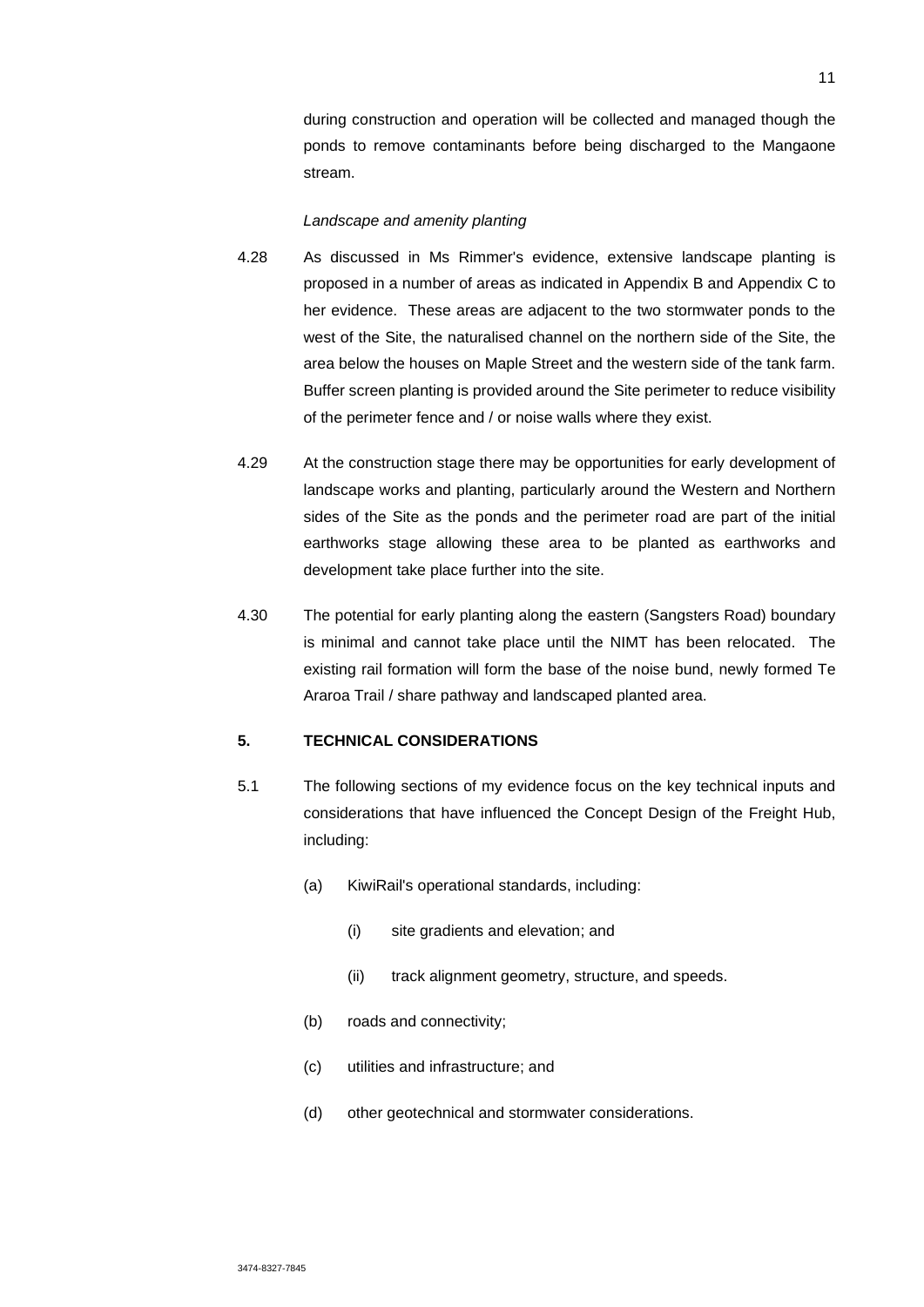during construction and operation will be collected and managed though the ponds to remove contaminants before being discharged to the Mangaone stream.

#### *Landscape and amenity planting*

- 4.28 As discussed in Ms Rimmer's evidence, extensive landscape planting is proposed in a number of areas as indicated in Appendix B and Appendix C to her evidence. These areas are adjacent to the two stormwater ponds to the west of the Site, the naturalised channel on the northern side of the Site, the area below the houses on Maple Street and the western side of the tank farm. Buffer screen planting is provided around the Site perimeter to reduce visibility of the perimeter fence and / or noise walls where they exist.
- 4.29 At the construction stage there may be opportunities for early development of landscape works and planting, particularly around the Western and Northern sides of the Site as the ponds and the perimeter road are part of the initial earthworks stage allowing these area to be planted as earthworks and development take place further into the site.
- 4.30 The potential for early planting along the eastern (Sangsters Road) boundary is minimal and cannot take place until the NIMT has been relocated. The existing rail formation will form the base of the noise bund, newly formed Te Araroa Trail / share pathway and landscaped planted area.

## **5. TECHNICAL CONSIDERATIONS**

- 5.1 The following sections of my evidence focus on the key technical inputs and considerations that have influenced the Concept Design of the Freight Hub, including:
	- (a) KiwiRail's operational standards, including:
		- (i) site gradients and elevation; and
		- (ii) track alignment geometry, structure, and speeds.
	- (b) roads and connectivity;
	- (c) utilities and infrastructure; and
	- (d) other geotechnical and stormwater considerations.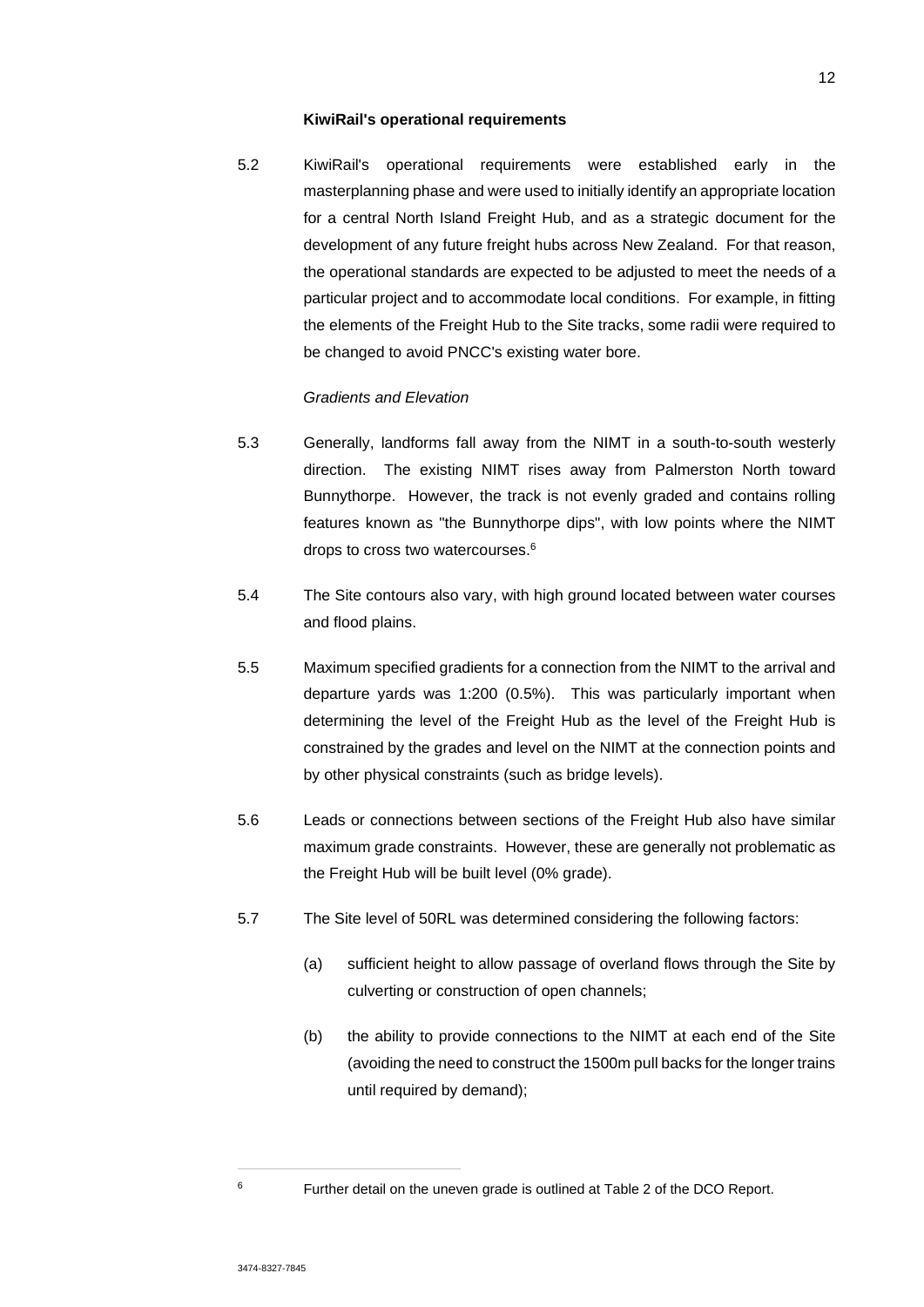#### **KiwiRail's operational requirements**

5.2 KiwiRail's operational requirements were established early in the masterplanning phase and were used to initially identify an appropriate location for a central North Island Freight Hub, and as a strategic document for the development of any future freight hubs across New Zealand. For that reason, the operational standards are expected to be adjusted to meet the needs of a particular project and to accommodate local conditions. For example, in fitting the elements of the Freight Hub to the Site tracks, some radii were required to be changed to avoid PNCC's existing water bore.

## *Gradients and Elevation*

- 5.3 Generally, landforms fall away from the NIMT in a south-to-south westerly direction. The existing NIMT rises away from Palmerston North toward Bunnythorpe. However, the track is not evenly graded and contains rolling features known as "the Bunnythorpe dips", with low points where the NIMT drops to cross two watercourses.<sup>6</sup>
- 5.4 The Site contours also vary, with high ground located between water courses and flood plains.
- 5.5 Maximum specified gradients for a connection from the NIMT to the arrival and departure yards was 1:200 (0.5%). This was particularly important when determining the level of the Freight Hub as the level of the Freight Hub is constrained by the grades and level on the NIMT at the connection points and by other physical constraints (such as bridge levels).
- 5.6 Leads or connections between sections of the Freight Hub also have similar maximum grade constraints. However, these are generally not problematic as the Freight Hub will be built level (0% grade).
- 5.7 The Site level of 50RL was determined considering the following factors:
	- (a) sufficient height to allow passage of overland flows through the Site by culverting or construction of open channels;
	- (b) the ability to provide connections to the NIMT at each end of the Site (avoiding the need to construct the 1500m pull backs for the longer trains until required by demand);

<sup>6</sup> Further detail on the uneven grade is outlined at Table 2 of the DCO Report.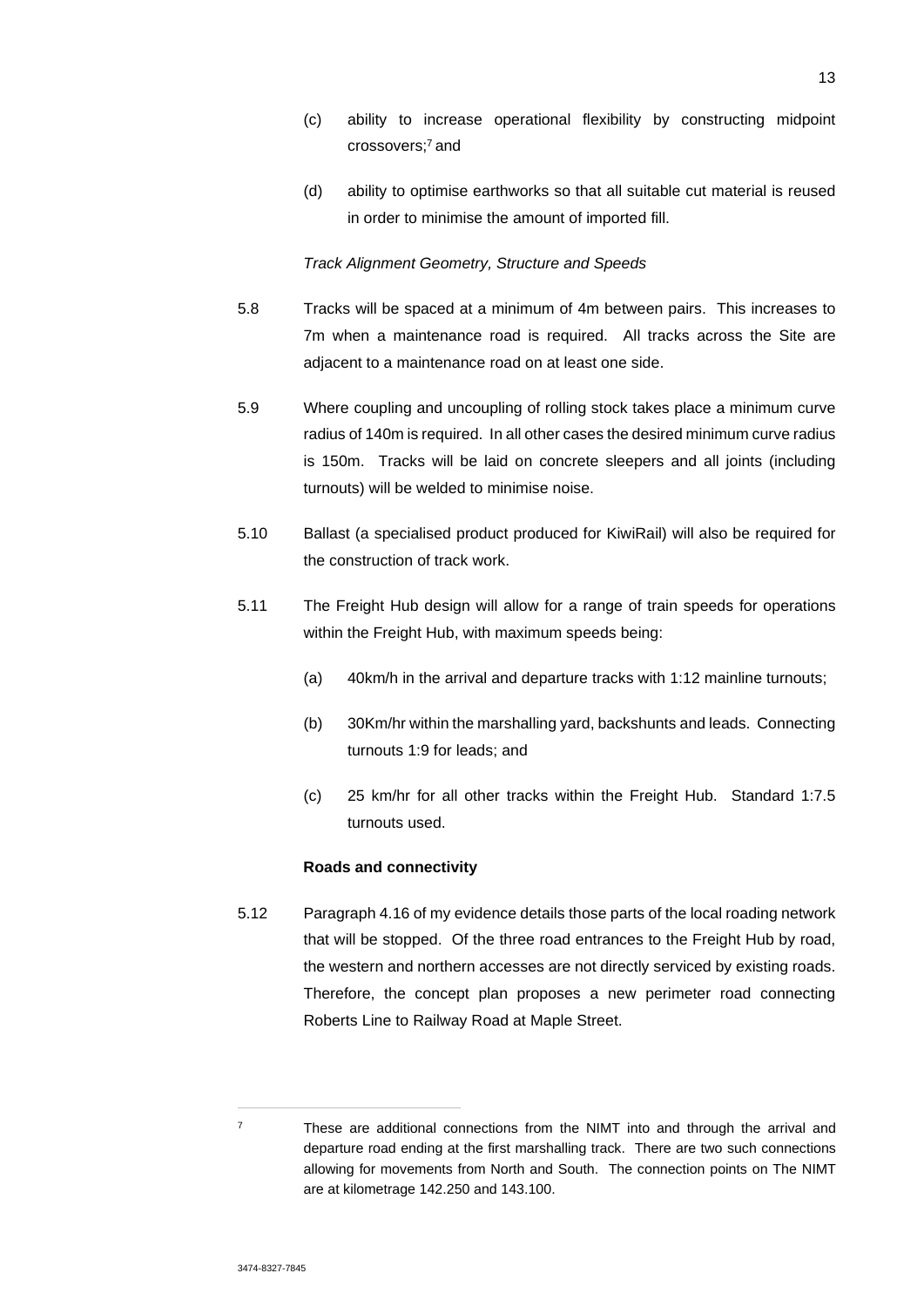(d) ability to optimise earthworks so that all suitable cut material is reused in order to minimise the amount of imported fill.

## *Track Alignment Geometry, Structure and Speeds*

- 5.8 Tracks will be spaced at a minimum of 4m between pairs. This increases to 7m when a maintenance road is required. All tracks across the Site are adjacent to a maintenance road on at least one side.
- 5.9 Where coupling and uncoupling of rolling stock takes place a minimum curve radius of 140m is required. In all other cases the desired minimum curve radius is 150m. Tracks will be laid on concrete sleepers and all joints (including turnouts) will be welded to minimise noise.
- 5.10 Ballast (a specialised product produced for KiwiRail) will also be required for the construction of track work.
- 5.11 The Freight Hub design will allow for a range of train speeds for operations within the Freight Hub, with maximum speeds being:
	- (a) 40km/h in the arrival and departure tracks with 1:12 mainline turnouts;
	- (b) 30Km/hr within the marshalling yard, backshunts and leads. Connecting turnouts 1:9 for leads; and
	- (c) 25 km/hr for all other tracks within the Freight Hub. Standard 1:7.5 turnouts used.

## **Roads and connectivity**

5.12 Paragraph 4.16 of my evidence details those parts of the local roading network that will be stopped. Of the three road entrances to the Freight Hub by road, the western and northern accesses are not directly serviced by existing roads. Therefore, the concept plan proposes a new perimeter road connecting Roberts Line to Railway Road at Maple Street.

 $7 \text{}$  These are additional connections from the NIMT into and through the arrival and departure road ending at the first marshalling track. There are two such connections allowing for movements from North and South. The connection points on The NIMT are at kilometrage 142.250 and 143.100.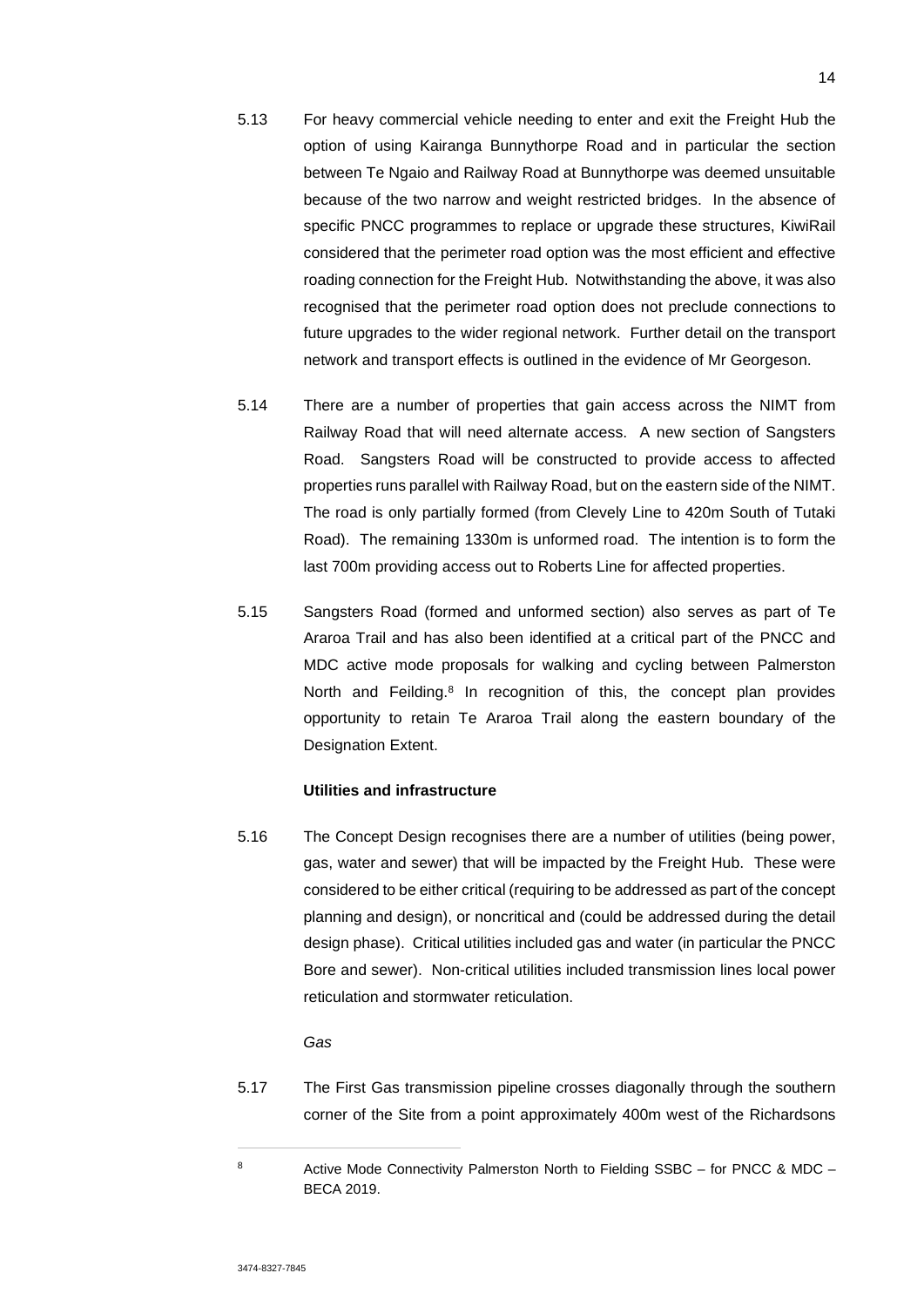- 5.13 For heavy commercial vehicle needing to enter and exit the Freight Hub the option of using Kairanga Bunnythorpe Road and in particular the section between Te Ngaio and Railway Road at Bunnythorpe was deemed unsuitable because of the two narrow and weight restricted bridges. In the absence of specific PNCC programmes to replace or upgrade these structures, KiwiRail considered that the perimeter road option was the most efficient and effective roading connection for the Freight Hub. Notwithstanding the above, it was also recognised that the perimeter road option does not preclude connections to future upgrades to the wider regional network. Further detail on the transport network and transport effects is outlined in the evidence of Mr Georgeson.
- 5.14 There are a number of properties that gain access across the NIMT from Railway Road that will need alternate access. A new section of Sangsters Road. Sangsters Road will be constructed to provide access to affected properties runs parallel with Railway Road, but on the eastern side of the NIMT. The road is only partially formed (from Clevely Line to 420m South of Tutaki Road). The remaining 1330m is unformed road. The intention is to form the last 700m providing access out to Roberts Line for affected properties.
- 5.15 Sangsters Road (formed and unformed section) also serves as part of Te Araroa Trail and has also been identified at a critical part of the PNCC and MDC active mode proposals for walking and cycling between Palmerston North and Feilding.<sup>8</sup> In recognition of this, the concept plan provides opportunity to retain Te Araroa Trail along the eastern boundary of the Designation Extent.

## **Utilities and infrastructure**

5.16 The Concept Design recognises there are a number of utilities (being power, gas, water and sewer) that will be impacted by the Freight Hub. These were considered to be either critical (requiring to be addressed as part of the concept planning and design), or noncritical and (could be addressed during the detail design phase). Critical utilities included gas and water (in particular the PNCC Bore and sewer). Non-critical utilities included transmission lines local power reticulation and stormwater reticulation.

### *Gas*

5.17 The First Gas transmission pipeline crosses diagonally through the southern corner of the Site from a point approximately 400m west of the Richardsons

<sup>8</sup> Active Mode Connectivity Palmerston North to Fielding SSBC – for PNCC & MDC – BECA 2019.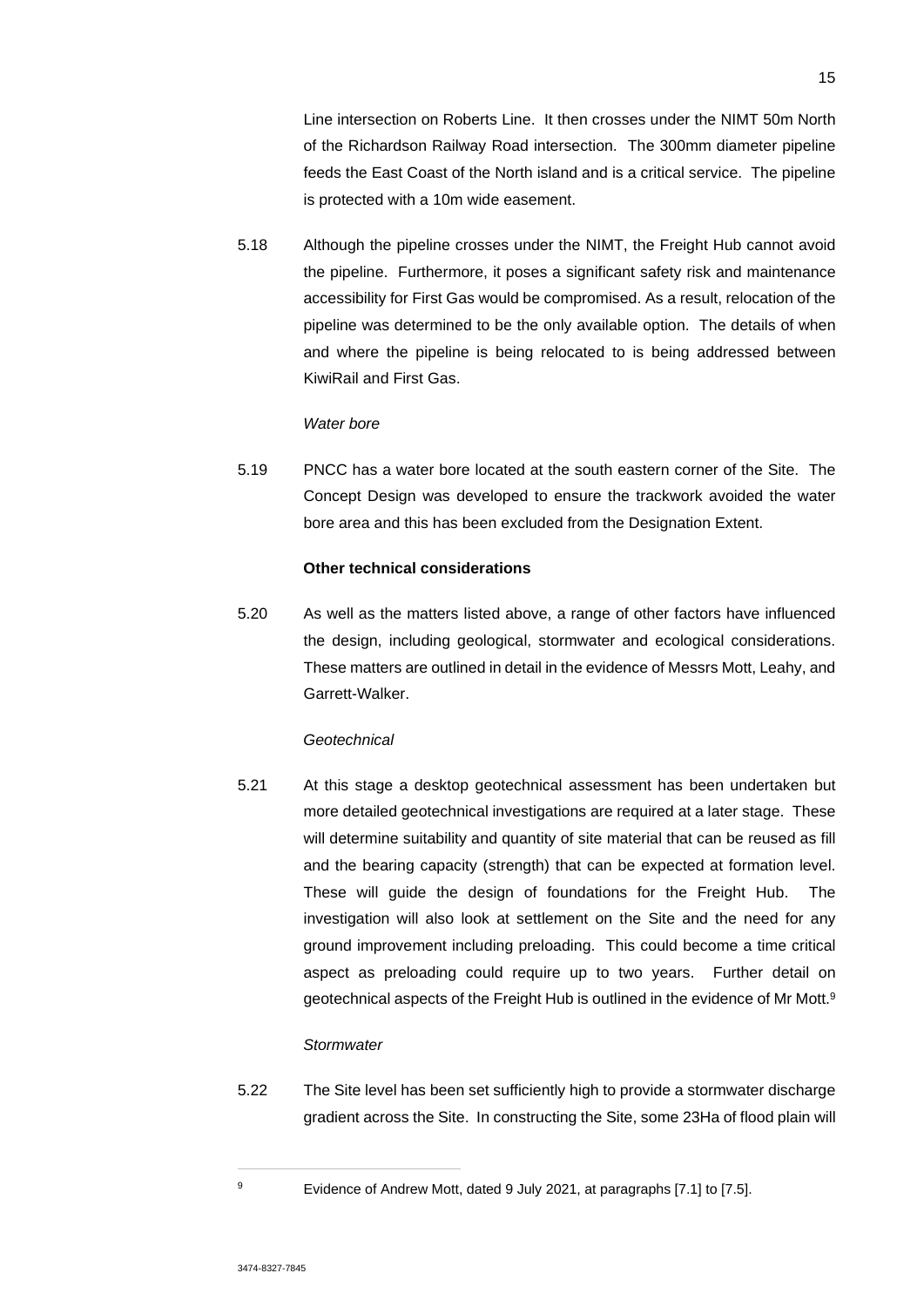Line intersection on Roberts Line. It then crosses under the NIMT 50m North of the Richardson Railway Road intersection. The 300mm diameter pipeline feeds the East Coast of the North island and is a critical service. The pipeline is protected with a 10m wide easement.

5.18 Although the pipeline crosses under the NIMT, the Freight Hub cannot avoid the pipeline. Furthermore, it poses a significant safety risk and maintenance accessibility for First Gas would be compromised. As a result, relocation of the pipeline was determined to be the only available option. The details of when and where the pipeline is being relocated to is being addressed between KiwiRail and First Gas.

#### *Water bore*

5.19 PNCC has a water bore located at the south eastern corner of the Site. The Concept Design was developed to ensure the trackwork avoided the water bore area and this has been excluded from the Designation Extent.

## **Other technical considerations**

5.20 As well as the matters listed above, a range of other factors have influenced the design, including geological, stormwater and ecological considerations. These matters are outlined in detail in the evidence of Messrs Mott, Leahy, and Garrett-Walker.

## *Geotechnical*

5.21 At this stage a desktop geotechnical assessment has been undertaken but more detailed geotechnical investigations are required at a later stage. These will determine suitability and quantity of site material that can be reused as fill and the bearing capacity (strength) that can be expected at formation level. These will guide the design of foundations for the Freight Hub. The investigation will also look at settlement on the Site and the need for any ground improvement including preloading. This could become a time critical aspect as preloading could require up to two years. Further detail on geotechnical aspects of the Freight Hub is outlined in the evidence of Mr Mott.<sup>9</sup>

### *Stormwater*

5.22 The Site level has been set sufficiently high to provide a stormwater discharge gradient across the Site. In constructing the Site, some 23Ha of flood plain will

<sup>9</sup> Evidence of Andrew Mott, dated 9 July 2021, at paragraphs [7.1] to [7.5].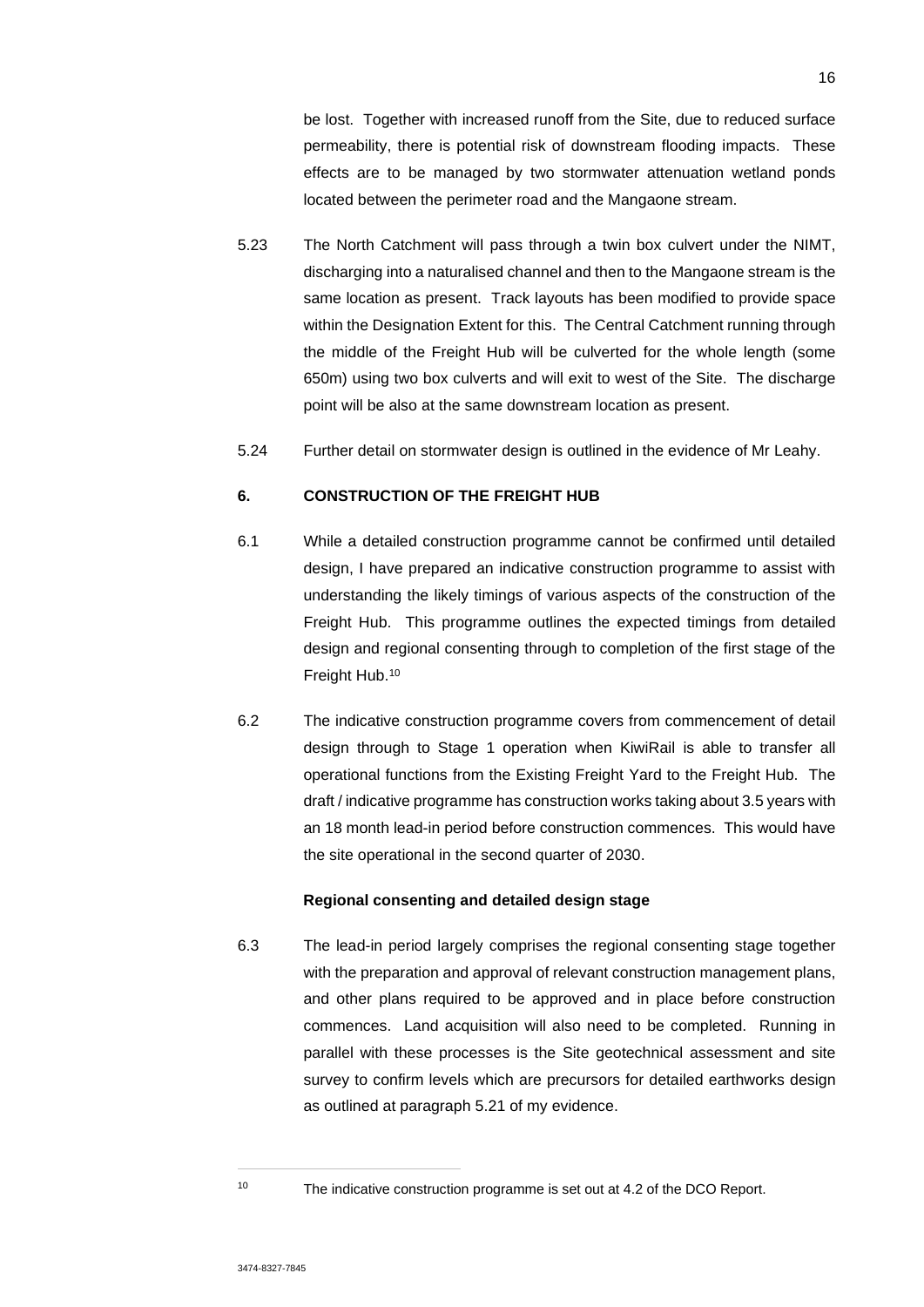be lost. Together with increased runoff from the Site, due to reduced surface permeability, there is potential risk of downstream flooding impacts. These effects are to be managed by two stormwater attenuation wetland ponds located between the perimeter road and the Mangaone stream.

- 5.23 The North Catchment will pass through a twin box culvert under the NIMT, discharging into a naturalised channel and then to the Mangaone stream is the same location as present. Track layouts has been modified to provide space within the Designation Extent for this. The Central Catchment running through the middle of the Freight Hub will be culverted for the whole length (some 650m) using two box culverts and will exit to west of the Site. The discharge point will be also at the same downstream location as present.
- 5.24 Further detail on stormwater design is outlined in the evidence of Mr Leahy.

## **6. CONSTRUCTION OF THE FREIGHT HUB**

- 6.1 While a detailed construction programme cannot be confirmed until detailed design, I have prepared an indicative construction programme to assist with understanding the likely timings of various aspects of the construction of the Freight Hub. This programme outlines the expected timings from detailed design and regional consenting through to completion of the first stage of the Freight Hub.<sup>10</sup>
- 6.2 The indicative construction programme covers from commencement of detail design through to Stage 1 operation when KiwiRail is able to transfer all operational functions from the Existing Freight Yard to the Freight Hub. The draft / indicative programme has construction works taking about 3.5 years with an 18 month lead-in period before construction commences. This would have the site operational in the second quarter of 2030.

#### **Regional consenting and detailed design stage**

6.3 The lead-in period largely comprises the regional consenting stage together with the preparation and approval of relevant construction management plans, and other plans required to be approved and in place before construction commences. Land acquisition will also need to be completed. Running in parallel with these processes is the Site geotechnical assessment and site survey to confirm levels which are precursors for detailed earthworks design as outlined at paragraph 5.21 of my evidence.

<sup>10</sup> The indicative construction programme is set out at 4.2 of the DCO Report.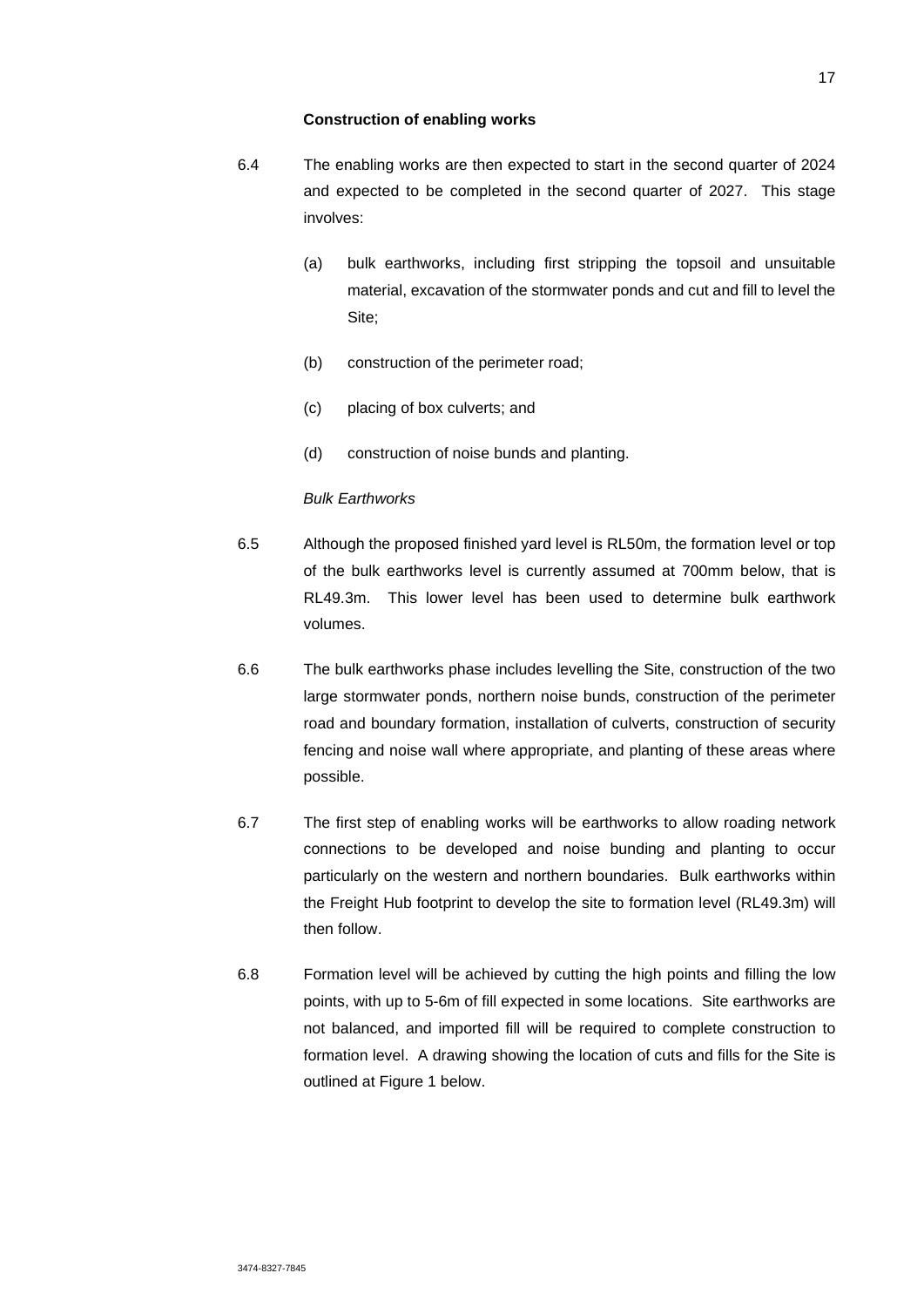#### **Construction of enabling works**

- 6.4 The enabling works are then expected to start in the second quarter of 2024 and expected to be completed in the second quarter of 2027. This stage involves:
	- (a) bulk earthworks, including first stripping the topsoil and unsuitable material, excavation of the stormwater ponds and cut and fill to level the Site;
	- (b) construction of the perimeter road;
	- (c) placing of box culverts; and
	- (d) construction of noise bunds and planting.

#### *Bulk Earthworks*

- 6.5 Although the proposed finished yard level is RL50m, the formation level or top of the bulk earthworks level is currently assumed at 700mm below, that is RL49.3m. This lower level has been used to determine bulk earthwork volumes.
- 6.6 The bulk earthworks phase includes levelling the Site, construction of the two large stormwater ponds, northern noise bunds, construction of the perimeter road and boundary formation, installation of culverts, construction of security fencing and noise wall where appropriate, and planting of these areas where possible.
- 6.7 The first step of enabling works will be earthworks to allow roading network connections to be developed and noise bunding and planting to occur particularly on the western and northern boundaries. Bulk earthworks within the Freight Hub footprint to develop the site to formation level (RL49.3m) will then follow.
- 6.8 Formation level will be achieved by cutting the high points and filling the low points, with up to 5-6m of fill expected in some locations. Site earthworks are not balanced, and imported fill will be required to complete construction to formation level. A drawing showing the location of cuts and fills for the Site is outlined at Figure 1 below.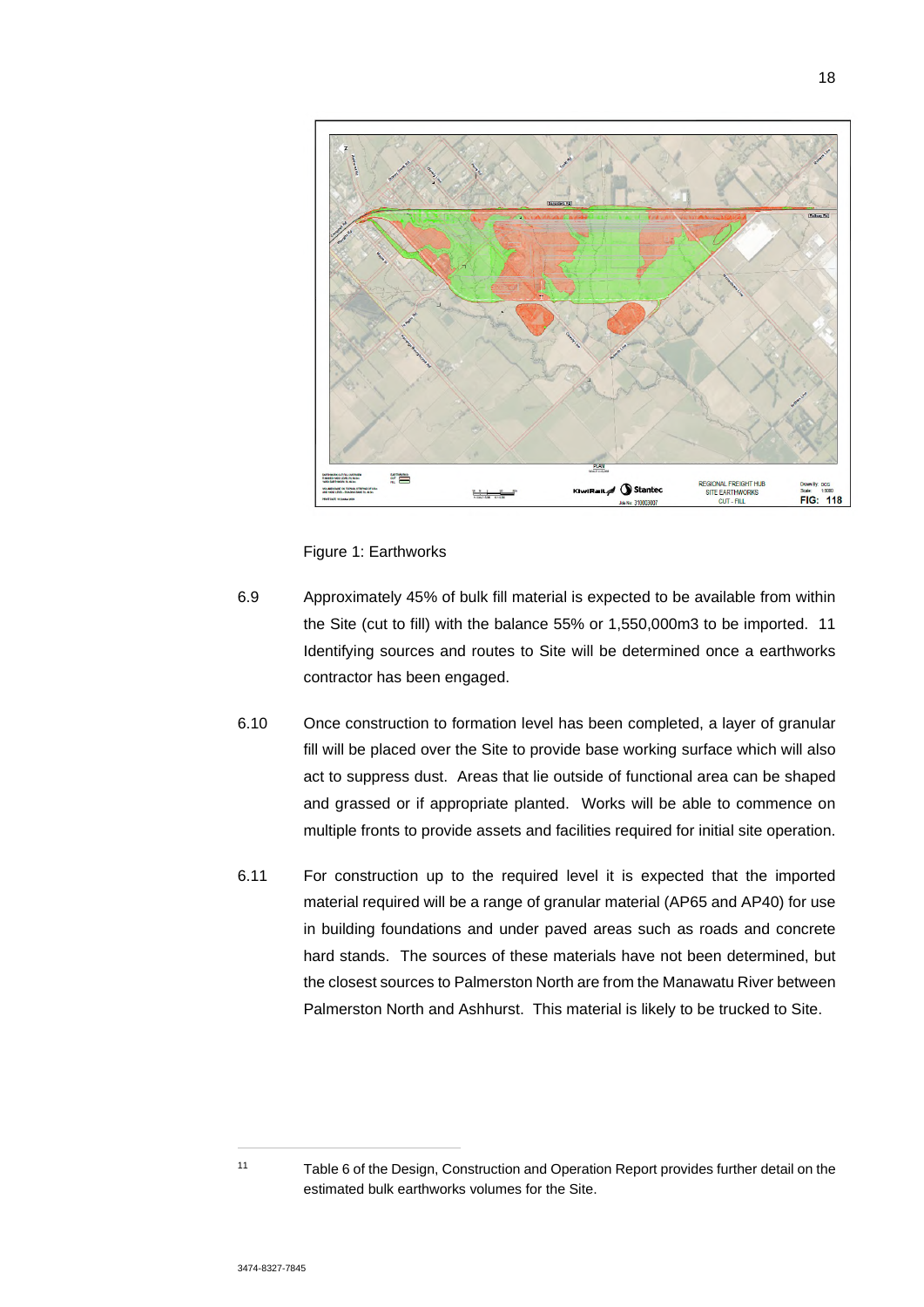

Figure 1: Earthworks

- 6.9 Approximately 45% of bulk fill material is expected to be available from within the Site (cut to fill) with the balance 55% or 1,550,000m3 to be imported. 11 Identifying sources and routes to Site will be determined once a earthworks contractor has been engaged.
- 6.10 Once construction to formation level has been completed, a layer of granular fill will be placed over the Site to provide base working surface which will also act to suppress dust. Areas that lie outside of functional area can be shaped and grassed or if appropriate planted. Works will be able to commence on multiple fronts to provide assets and facilities required for initial site operation.
- 6.11 For construction up to the required level it is expected that the imported material required will be a range of granular material (AP65 and AP40) for use in building foundations and under paved areas such as roads and concrete hard stands. The sources of these materials have not been determined, but the closest sources to Palmerston North are from the Manawatu River between Palmerston North and Ashhurst. This material is likely to be trucked to Site.

<sup>11</sup> Table 6 of the Design, Construction and Operation Report provides further detail on the estimated bulk earthworks volumes for the Site.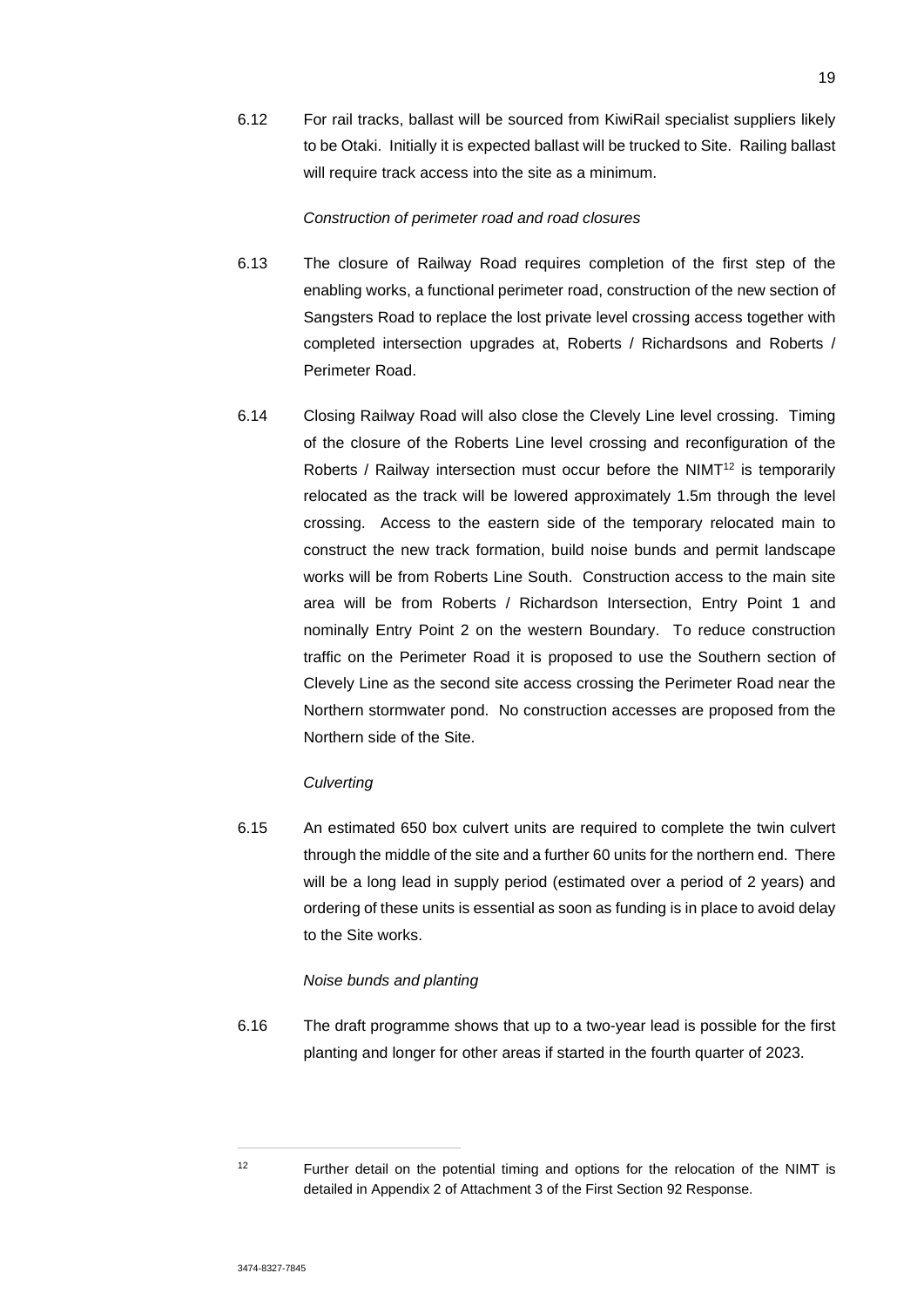6.12 For rail tracks, ballast will be sourced from KiwiRail specialist suppliers likely to be Otaki. Initially it is expected ballast will be trucked to Site. Railing ballast will require track access into the site as a minimum.

#### *Construction of perimeter road and road closures*

- 6.13 The closure of Railway Road requires completion of the first step of the enabling works, a functional perimeter road, construction of the new section of Sangsters Road to replace the lost private level crossing access together with completed intersection upgrades at, Roberts / Richardsons and Roberts / Perimeter Road.
- 6.14 Closing Railway Road will also close the Clevely Line level crossing. Timing of the closure of the Roberts Line level crossing and reconfiguration of the Roberts / Railway intersection must occur before the NIMT<sup>12</sup> is temporarily relocated as the track will be lowered approximately 1.5m through the level crossing. Access to the eastern side of the temporary relocated main to construct the new track formation, build noise bunds and permit landscape works will be from Roberts Line South. Construction access to the main site area will be from Roberts / Richardson Intersection, Entry Point 1 and nominally Entry Point 2 on the western Boundary. To reduce construction traffic on the Perimeter Road it is proposed to use the Southern section of Clevely Line as the second site access crossing the Perimeter Road near the Northern stormwater pond. No construction accesses are proposed from the Northern side of the Site.

### *Culverting*

6.15 An estimated 650 box culvert units are required to complete the twin culvert through the middle of the site and a further 60 units for the northern end. There will be a long lead in supply period (estimated over a period of 2 years) and ordering of these units is essential as soon as funding is in place to avoid delay to the Site works.

### *Noise bunds and planting*

6.16 The draft programme shows that up to a two-year lead is possible for the first planting and longer for other areas if started in the fourth quarter of 2023.

<sup>&</sup>lt;sup>12</sup> Further detail on the potential timing and options for the relocation of the NIMT is detailed in Appendix 2 of Attachment 3 of the First Section 92 Response.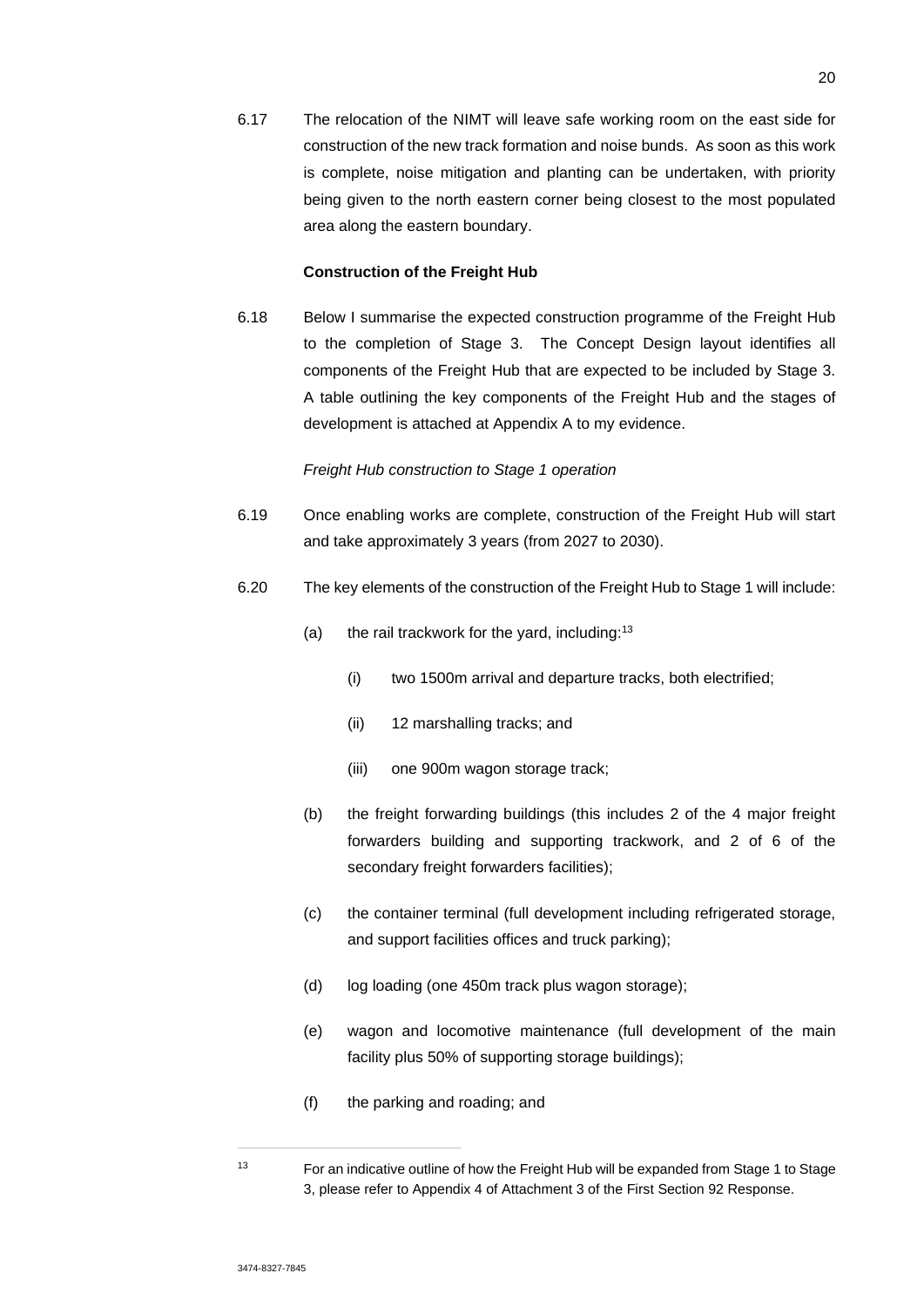6.17 The relocation of the NIMT will leave safe working room on the east side for construction of the new track formation and noise bunds. As soon as this work is complete, noise mitigation and planting can be undertaken, with priority being given to the north eastern corner being closest to the most populated area along the eastern boundary.

### **Construction of the Freight Hub**

6.18 Below I summarise the expected construction programme of the Freight Hub to the completion of Stage 3. The Concept Design layout identifies all components of the Freight Hub that are expected to be included by Stage 3. A table outlining the key components of the Freight Hub and the stages of development is attached at Appendix A to my evidence.

#### *Freight Hub construction to Stage 1 operation*

- 6.19 Once enabling works are complete, construction of the Freight Hub will start and take approximately 3 years (from 2027 to 2030).
- 6.20 The key elements of the construction of the Freight Hub to Stage 1 will include:
	- (a) the rail trackwork for the yard, including: $13$ 
		- (i) two 1500m arrival and departure tracks, both electrified;
		- (ii) 12 marshalling tracks; and
		- (iii) one 900m wagon storage track;
	- (b) the freight forwarding buildings (this includes 2 of the 4 major freight forwarders building and supporting trackwork, and 2 of 6 of the secondary freight forwarders facilities);
	- (c) the container terminal (full development including refrigerated storage, and support facilities offices and truck parking);
	- (d) log loading (one 450m track plus wagon storage);
	- (e) wagon and locomotive maintenance (full development of the main facility plus 50% of supporting storage buildings);
	- (f) the parking and roading; and

<sup>&</sup>lt;sup>13</sup> For an indicative outline of how the Freight Hub will be expanded from Stage 1 to Stage 3, please refer to Appendix 4 of Attachment 3 of the First Section 92 Response.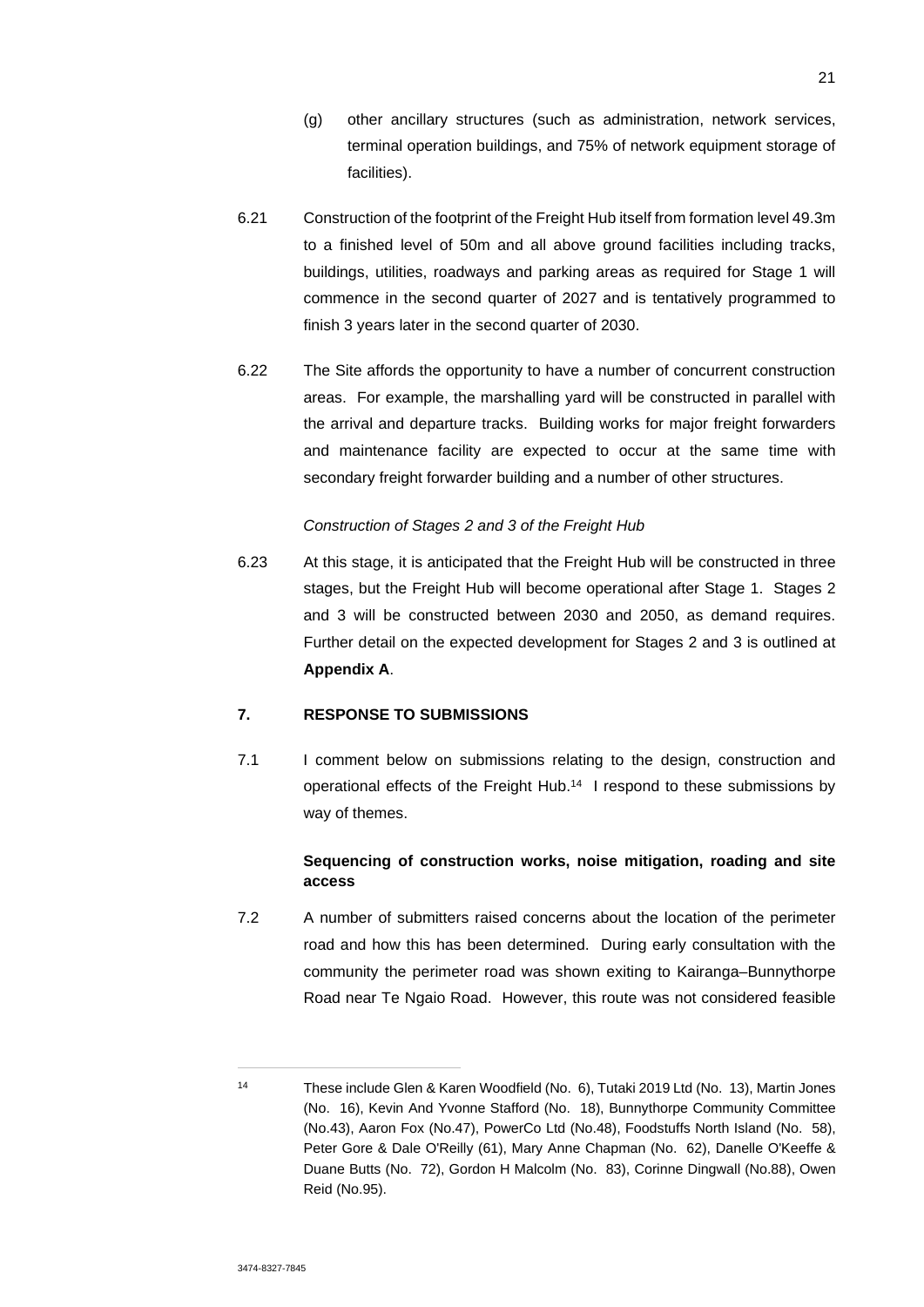- (g) other ancillary structures (such as administration, network services, terminal operation buildings, and 75% of network equipment storage of facilities).
- 6.21 Construction of the footprint of the Freight Hub itself from formation level 49.3m to a finished level of 50m and all above ground facilities including tracks, buildings, utilities, roadways and parking areas as required for Stage 1 will commence in the second quarter of 2027 and is tentatively programmed to finish 3 years later in the second quarter of 2030.
- 6.22 The Site affords the opportunity to have a number of concurrent construction areas. For example, the marshalling yard will be constructed in parallel with the arrival and departure tracks. Building works for major freight forwarders and maintenance facility are expected to occur at the same time with secondary freight forwarder building and a number of other structures.

### *Construction of Stages 2 and 3 of the Freight Hub*

6.23 At this stage, it is anticipated that the Freight Hub will be constructed in three stages, but the Freight Hub will become operational after Stage 1. Stages 2 and 3 will be constructed between 2030 and 2050, as demand requires. Further detail on the expected development for Stages 2 and 3 is outlined at **Appendix A**.

## **7. RESPONSE TO SUBMISSIONS**

7.1 I comment below on submissions relating to the design, construction and operational effects of the Freight Hub.<sup>14</sup> I respond to these submissions by way of themes.

## **Sequencing of construction works, noise mitigation, roading and site access**

7.2 A number of submitters raised concerns about the location of the perimeter road and how this has been determined. During early consultation with the community the perimeter road was shown exiting to Kairanga–Bunnythorpe Road near Te Ngaio Road. However, this route was not considered feasible

<sup>14</sup> These include Glen & Karen Woodfield (No. 6), Tutaki 2019 Ltd (No. 13), Martin Jones (No. 16), Kevin And Yvonne Stafford (No. 18), Bunnythorpe Community Committee (No.43), Aaron Fox (No.47), PowerCo Ltd (No.48), Foodstuffs North Island (No. 58), Peter Gore & Dale O'Reilly (61), Mary Anne Chapman (No. 62), Danelle O'Keeffe & Duane Butts (No. 72), Gordon H Malcolm (No. 83), Corinne Dingwall (No.88), Owen Reid (No.95).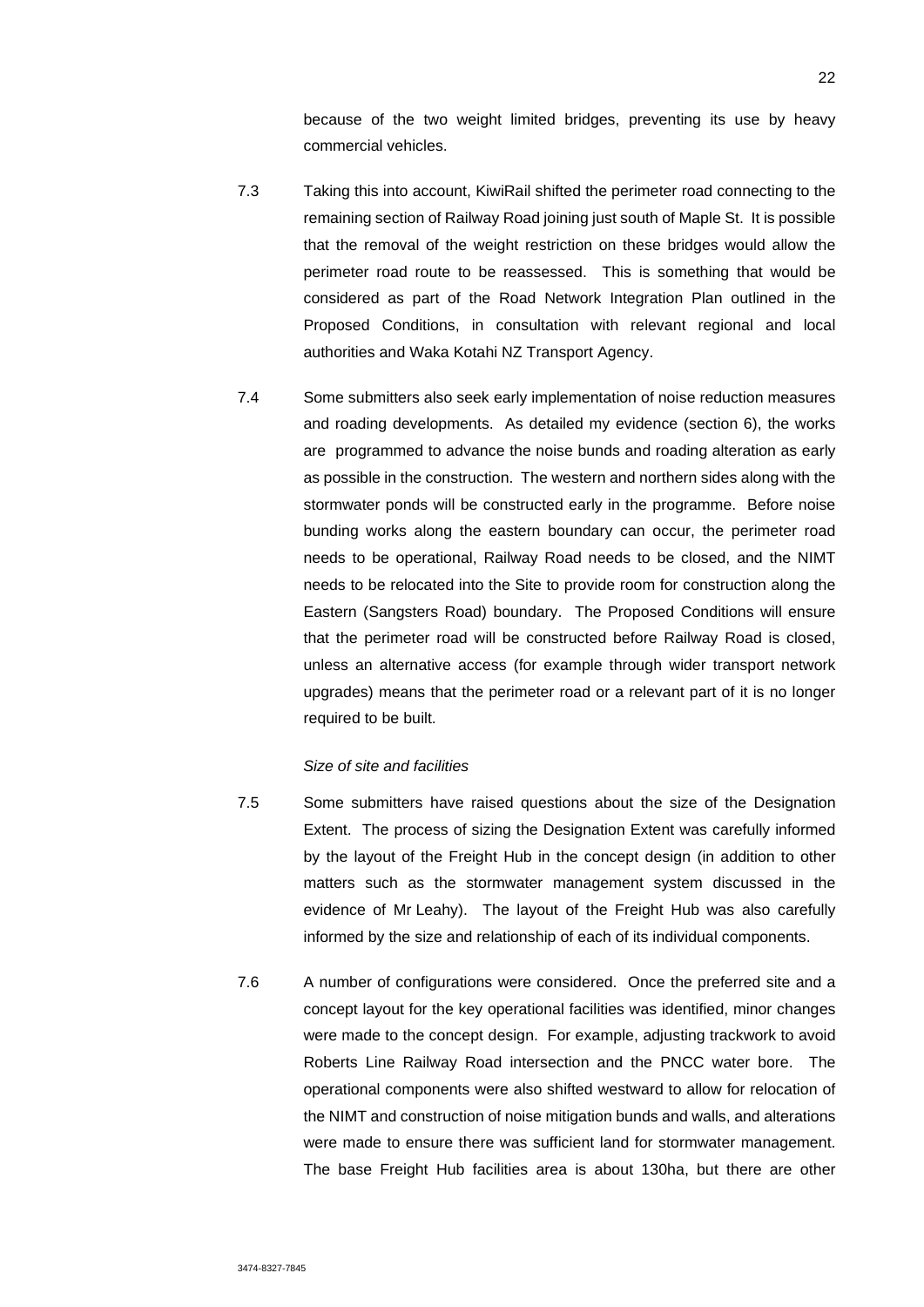because of the two weight limited bridges, preventing its use by heavy commercial vehicles.

- 7.3 Taking this into account, KiwiRail shifted the perimeter road connecting to the remaining section of Railway Road joining just south of Maple St. It is possible that the removal of the weight restriction on these bridges would allow the perimeter road route to be reassessed. This is something that would be considered as part of the Road Network Integration Plan outlined in the Proposed Conditions, in consultation with relevant regional and local authorities and Waka Kotahi NZ Transport Agency.
- 7.4 Some submitters also seek early implementation of noise reduction measures and roading developments. As detailed my evidence (section 6), the works are programmed to advance the noise bunds and roading alteration as early as possible in the construction. The western and northern sides along with the stormwater ponds will be constructed early in the programme. Before noise bunding works along the eastern boundary can occur, the perimeter road needs to be operational, Railway Road needs to be closed, and the NIMT needs to be relocated into the Site to provide room for construction along the Eastern (Sangsters Road) boundary. The Proposed Conditions will ensure that the perimeter road will be constructed before Railway Road is closed, unless an alternative access (for example through wider transport network upgrades) means that the perimeter road or a relevant part of it is no longer required to be built.

#### *Size of site and facilities*

- 7.5 Some submitters have raised questions about the size of the Designation Extent. The process of sizing the Designation Extent was carefully informed by the layout of the Freight Hub in the concept design (in addition to other matters such as the stormwater management system discussed in the evidence of Mr Leahy). The layout of the Freight Hub was also carefully informed by the size and relationship of each of its individual components.
- 7.6 A number of configurations were considered. Once the preferred site and a concept layout for the key operational facilities was identified, minor changes were made to the concept design. For example, adjusting trackwork to avoid Roberts Line Railway Road intersection and the PNCC water bore. The operational components were also shifted westward to allow for relocation of the NIMT and construction of noise mitigation bunds and walls, and alterations were made to ensure there was sufficient land for stormwater management. The base Freight Hub facilities area is about 130ha, but there are other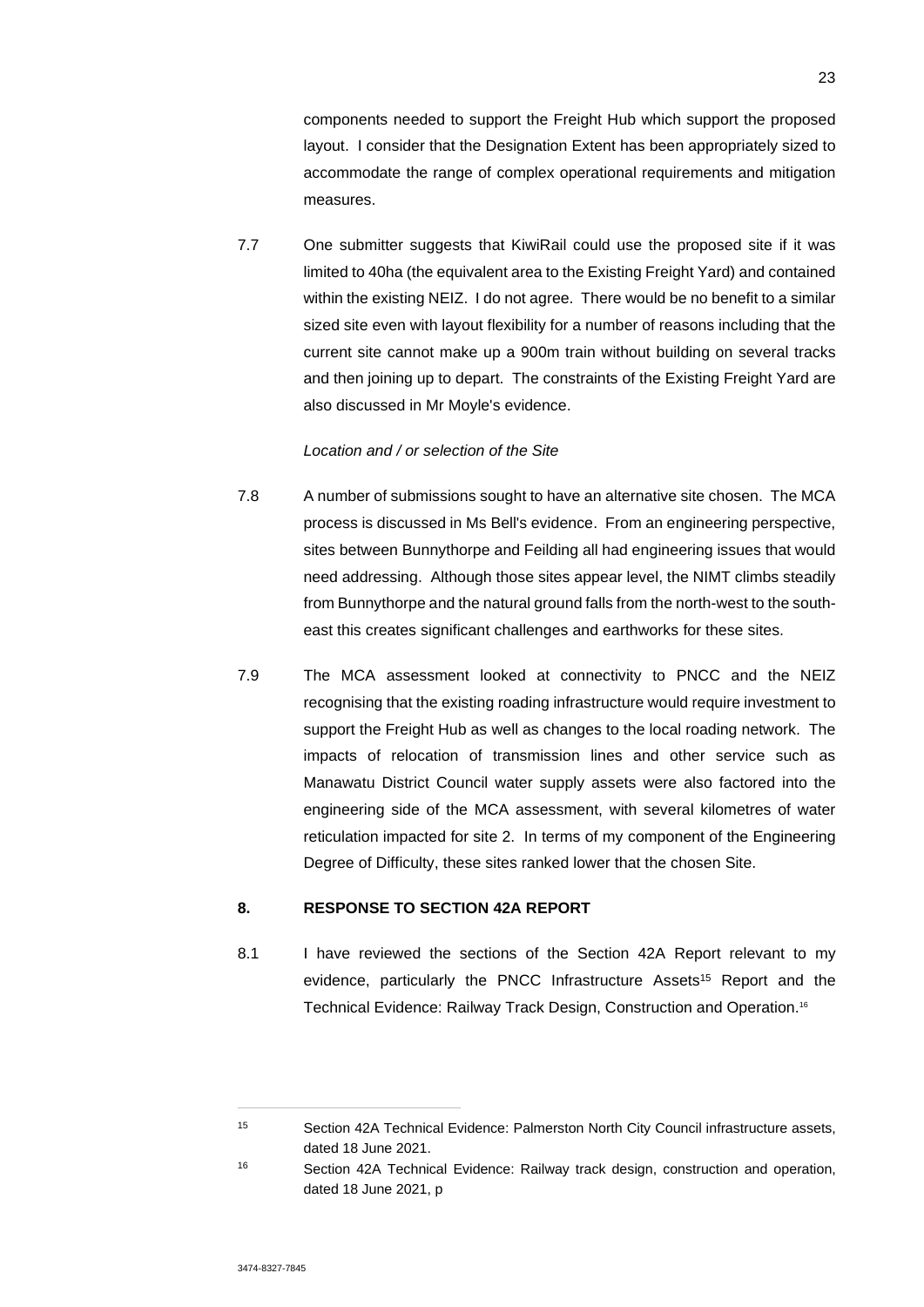components needed to support the Freight Hub which support the proposed layout. I consider that the Designation Extent has been appropriately sized to accommodate the range of complex operational requirements and mitigation measures.

7.7 One submitter suggests that KiwiRail could use the proposed site if it was limited to 40ha (the equivalent area to the Existing Freight Yard) and contained within the existing NEIZ. I do not agree. There would be no benefit to a similar sized site even with layout flexibility for a number of reasons including that the current site cannot make up a 900m train without building on several tracks and then joining up to depart. The constraints of the Existing Freight Yard are also discussed in Mr Moyle's evidence.

## *Location and / or selection of the Site*

- 7.8 A number of submissions sought to have an alternative site chosen. The MCA process is discussed in Ms Bell's evidence. From an engineering perspective, sites between Bunnythorpe and Feilding all had engineering issues that would need addressing. Although those sites appear level, the NIMT climbs steadily from Bunnythorpe and the natural ground falls from the north-west to the southeast this creates significant challenges and earthworks for these sites.
- 7.9 The MCA assessment looked at connectivity to PNCC and the NEIZ recognising that the existing roading infrastructure would require investment to support the Freight Hub as well as changes to the local roading network. The impacts of relocation of transmission lines and other service such as Manawatu District Council water supply assets were also factored into the engineering side of the MCA assessment, with several kilometres of water reticulation impacted for site 2. In terms of my component of the Engineering Degree of Difficulty, these sites ranked lower that the chosen Site.

## **8. RESPONSE TO SECTION 42A REPORT**

8.1 I have reviewed the sections of the Section 42A Report relevant to my evidence, particularly the PNCC Infrastructure Assets<sup>15</sup> Report and the Technical Evidence: Railway Track Design, Construction and Operation.<sup>16</sup>

<sup>15</sup> Section 42A Technical Evidence: Palmerston North City Council infrastructure assets, dated 18 June 2021.

<sup>16</sup> Section 42A Technical Evidence: Railway track design, construction and operation, dated 18 June 2021, p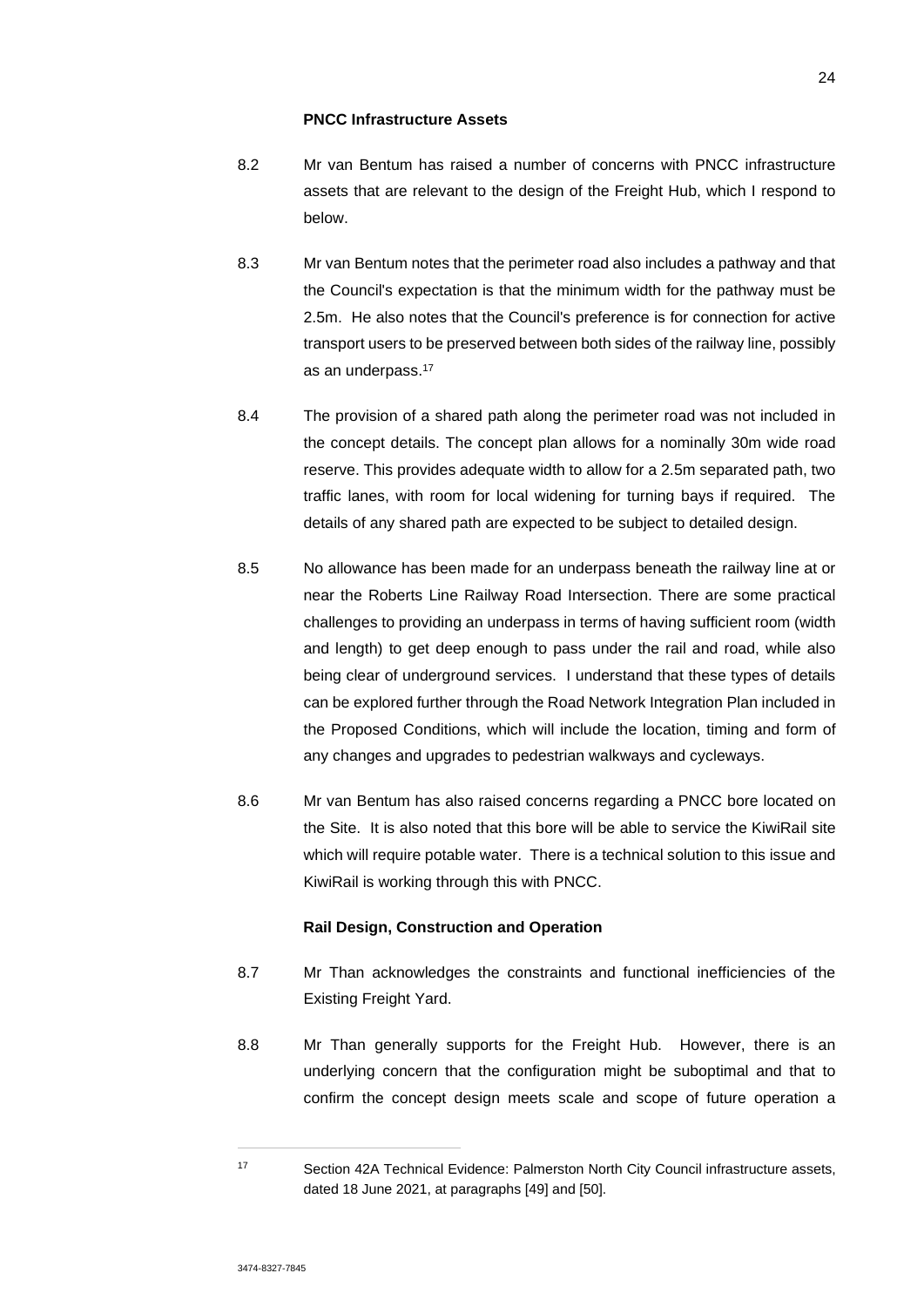#### **PNCC Infrastructure Assets**

- 8.2 Mr van Bentum has raised a number of concerns with PNCC infrastructure assets that are relevant to the design of the Freight Hub, which I respond to below.
- 8.3 Mr van Bentum notes that the perimeter road also includes a pathway and that the Council's expectation is that the minimum width for the pathway must be 2.5m. He also notes that the Council's preference is for connection for active transport users to be preserved between both sides of the railway line, possibly as an underpass.<sup>17</sup>
- 8.4 The provision of a shared path along the perimeter road was not included in the concept details. The concept plan allows for a nominally 30m wide road reserve. This provides adequate width to allow for a 2.5m separated path, two traffic lanes, with room for local widening for turning bays if required. The details of any shared path are expected to be subject to detailed design.
- 8.5 No allowance has been made for an underpass beneath the railway line at or near the Roberts Line Railway Road Intersection. There are some practical challenges to providing an underpass in terms of having sufficient room (width and length) to get deep enough to pass under the rail and road, while also being clear of underground services. I understand that these types of details can be explored further through the Road Network Integration Plan included in the Proposed Conditions, which will include the location, timing and form of any changes and upgrades to pedestrian walkways and cycleways.
- 8.6 Mr van Bentum has also raised concerns regarding a PNCC bore located on the Site. It is also noted that this bore will be able to service the KiwiRail site which will require potable water. There is a technical solution to this issue and KiwiRail is working through this with PNCC.

### **Rail Design, Construction and Operation**

- 8.7 Mr Than acknowledges the constraints and functional inefficiencies of the Existing Freight Yard.
- 8.8 Mr Than generally supports for the Freight Hub. However, there is an underlying concern that the configuration might be suboptimal and that to confirm the concept design meets scale and scope of future operation a

<sup>17</sup> Section 42A Technical Evidence: Palmerston North City Council infrastructure assets, dated 18 June 2021, at paragraphs [49] and [50].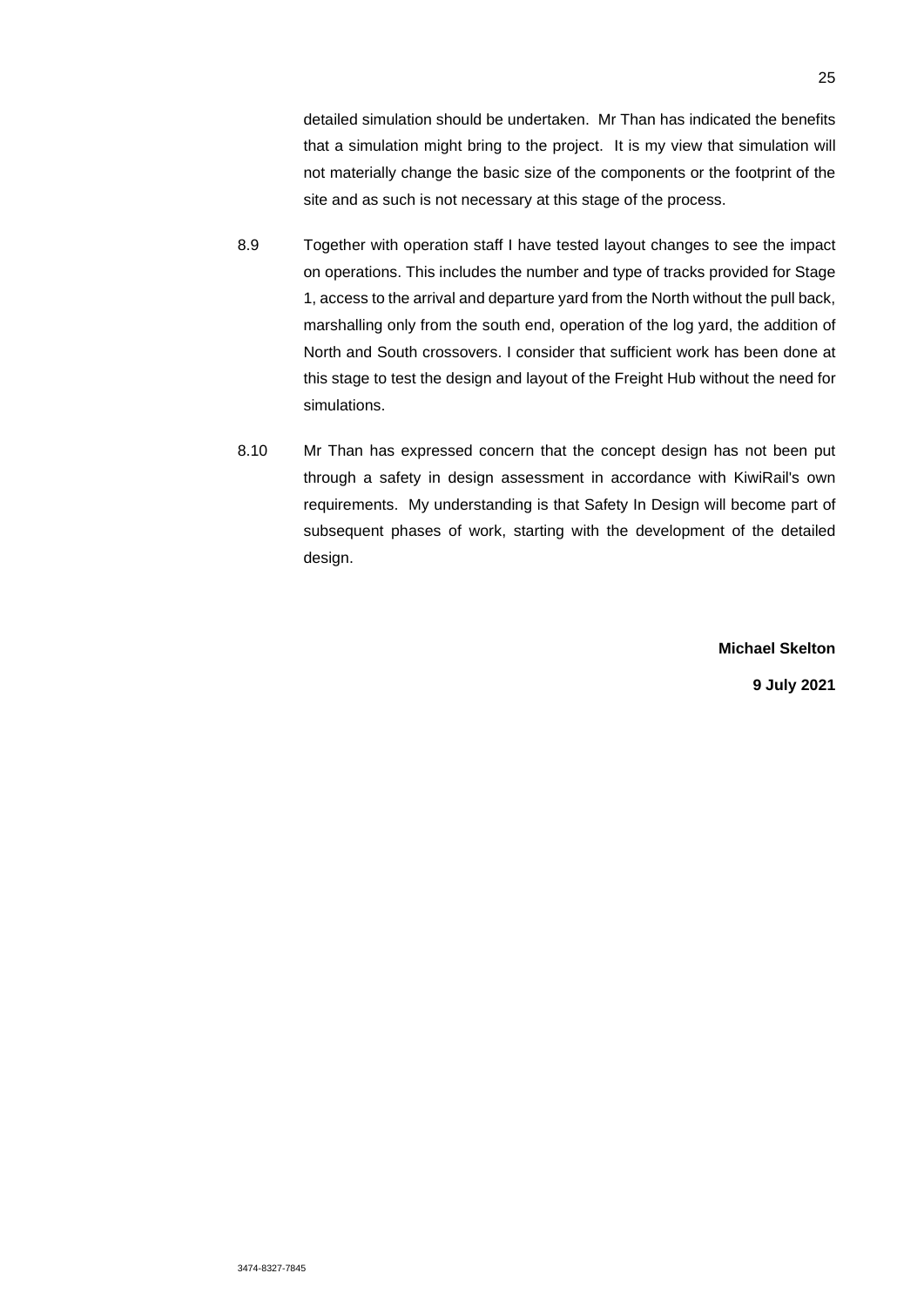detailed simulation should be undertaken. Mr Than has indicated the benefits that a simulation might bring to the project. It is my view that simulation will not materially change the basic size of the components or the footprint of the site and as such is not necessary at this stage of the process.

- 8.9 Together with operation staff I have tested layout changes to see the impact on operations. This includes the number and type of tracks provided for Stage 1, access to the arrival and departure yard from the North without the pull back, marshalling only from the south end, operation of the log yard, the addition of North and South crossovers. I consider that sufficient work has been done at this stage to test the design and layout of the Freight Hub without the need for simulations.
- 8.10 Mr Than has expressed concern that the concept design has not been put through a safety in design assessment in accordance with KiwiRail's own requirements. My understanding is that Safety In Design will become part of subsequent phases of work, starting with the development of the detailed design.

**Michael Skelton** 

**9 July 2021**